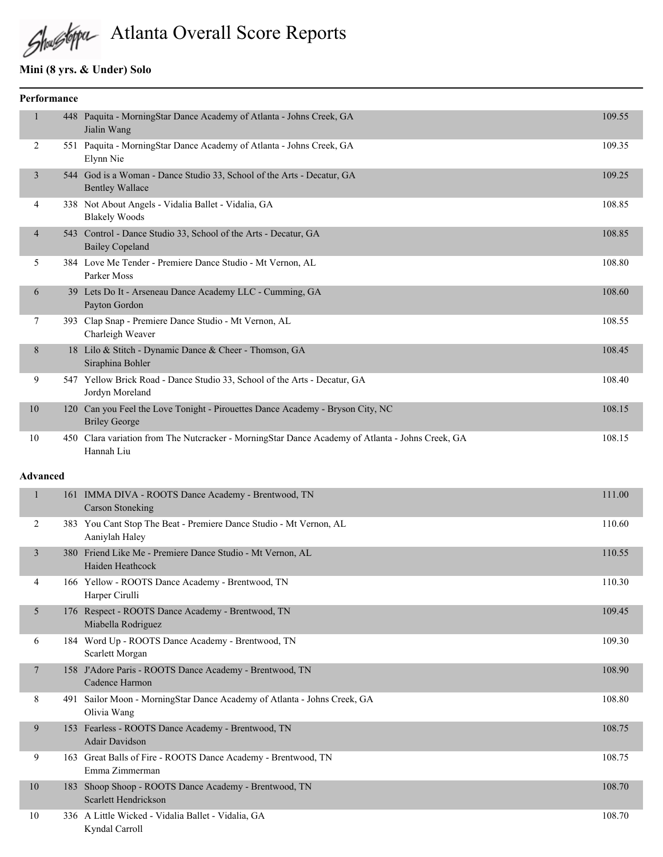# Atlanta Overall Score Reports

# **Mini (8 yrs. & Under) Solo**

| <b>Performance</b> |                |     |                                                                                                            |        |
|--------------------|----------------|-----|------------------------------------------------------------------------------------------------------------|--------|
|                    | 1              |     | 448 Paquita - MorningStar Dance Academy of Atlanta - Johns Creek, GA<br>Jialin Wang                        | 109.55 |
|                    | 2              |     | 551 Paquita - MorningStar Dance Academy of Atlanta - Johns Creek, GA<br>Elynn Nie                          | 109.35 |
|                    | 3              |     | 544 God is a Woman - Dance Studio 33, School of the Arts - Decatur, GA<br><b>Bentley Wallace</b>           | 109.25 |
|                    | 4              |     | 338 Not About Angels - Vidalia Ballet - Vidalia, GA<br><b>Blakely Woods</b>                                | 108.85 |
|                    | $\overline{4}$ |     | 543 Control - Dance Studio 33, School of the Arts - Decatur, GA<br><b>Bailey Copeland</b>                  | 108.85 |
|                    | 5              |     | 384 Love Me Tender - Premiere Dance Studio - Mt Vernon, AL<br>Parker Moss                                  | 108.80 |
|                    | 6              |     | 39 Lets Do It - Arseneau Dance Academy LLC - Cumming, GA<br>Payton Gordon                                  | 108.60 |
|                    | 7              |     | 393 Clap Snap - Premiere Dance Studio - Mt Vernon, AL<br>Charleigh Weaver                                  | 108.55 |
|                    | $\,$ 8 $\,$    |     | 18 Lilo & Stitch - Dynamic Dance & Cheer - Thomson, GA<br>Siraphina Bohler                                 | 108.45 |
|                    | 9              |     | 547 Yellow Brick Road - Dance Studio 33, School of the Arts - Decatur, GA<br>Jordyn Moreland               | 108.40 |
|                    | 10             | 120 | Can you Feel the Love Tonight - Pirouettes Dance Academy - Bryson City, NC<br><b>Briley George</b>         | 108.15 |
|                    | 10             | 450 | Clara variation from The Nutcracker - MorningStar Dance Academy of Atlanta - Johns Creek, GA<br>Hannah Liu | 108.15 |

#### **Advanced**

|                | 161 | IMMA DIVA - ROOTS Dance Academy - Brentwood, TN<br><b>Carson Stoneking</b>           | 111.00 |
|----------------|-----|--------------------------------------------------------------------------------------|--------|
| 2              |     | 383 You Cant Stop The Beat - Premiere Dance Studio - Mt Vernon, AL<br>Aaniylah Haley | 110.60 |
| $\overline{3}$ | 380 | Friend Like Me - Premiere Dance Studio - Mt Vernon, AL<br>Haiden Heathcock           | 110.55 |
| 4              |     | 166 Yellow - ROOTS Dance Academy - Brentwood, TN<br>Harper Cirulli                   | 110.30 |
| 5              |     | 176 Respect - ROOTS Dance Academy - Brentwood, TN<br>Miabella Rodriguez              | 109.45 |
| 6              |     | 184 Word Up - ROOTS Dance Academy - Brentwood, TN<br>Scarlett Morgan                 | 109.30 |
| $\tau$         | 158 | J'Adore Paris - ROOTS Dance Academy - Brentwood, TN<br>Cadence Harmon                | 108.90 |
| 8              | 491 | Sailor Moon - MorningStar Dance Academy of Atlanta - Johns Creek, GA<br>Olivia Wang  | 108.80 |
| 9              | 153 | Fearless - ROOTS Dance Academy - Brentwood, TN<br><b>Adair Davidson</b>              | 108.75 |
| 9              |     | 163 Great Balls of Fire - ROOTS Dance Academy - Brentwood, TN<br>Emma Zimmerman      | 108.75 |
| 10             | 183 | Shoop Shoop - ROOTS Dance Academy - Brentwood, TN<br>Scarlett Hendrickson            | 108.70 |
| 10             |     | 336 A Little Wicked - Vidalia Ballet - Vidalia, GA<br>Kyndal Carroll                 | 108.70 |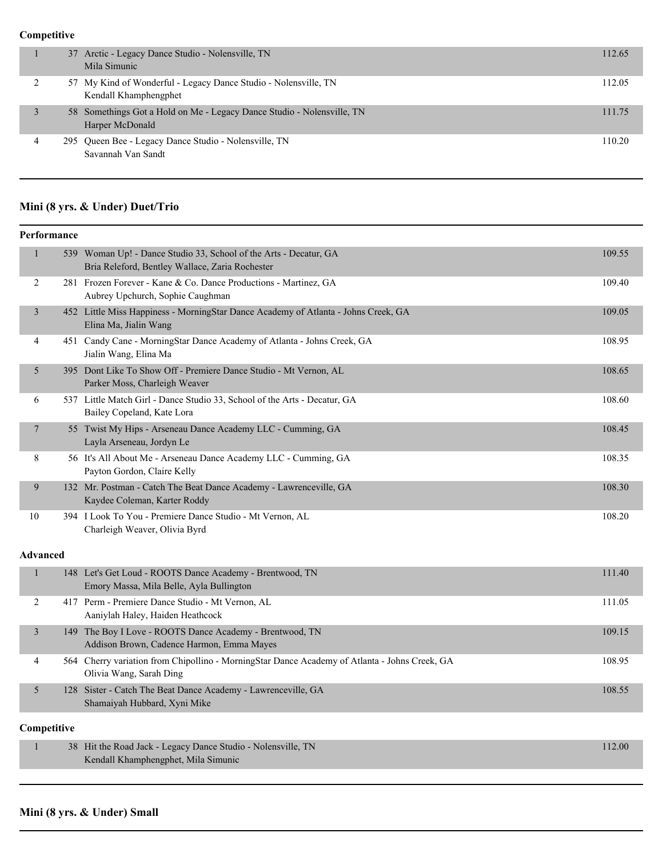## **Competitive**

| 37 Arctic - Legacy Dance Studio - Nolensville, TN<br>Mila Simunic                         | 112.65 |
|-------------------------------------------------------------------------------------------|--------|
| 57 My Kind of Wonderful - Legacy Dance Studio - Nolensville, TN<br>Kendall Khamphengphet  | 112.05 |
| 58 Somethings Got a Hold on Me - Legacy Dance Studio - Nolensville, TN<br>Harper McDonald | 111.75 |
| 295 Queen Bee - Legacy Dance Studio - Nolensville, TN<br>Savannah Van Sandt               | 110.20 |

# **Mini (8 yrs. & Under) Duet/Trio**

| Performance     |             |                                                                                                                          |        |  |
|-----------------|-------------|--------------------------------------------------------------------------------------------------------------------------|--------|--|
| $\mathbf{1}$    |             | 539 Woman Up! - Dance Studio 33, School of the Arts - Decatur, GA<br>Bria Releford, Bentley Wallace, Zaria Rochester     | 109.55 |  |
| $\overline{c}$  |             | 281 Frozen Forever - Kane & Co. Dance Productions - Martinez, GA<br>Aubrey Upchurch, Sophie Caughman                     | 109.40 |  |
| $\mathfrak{Z}$  |             | 452 Little Miss Happiness - MorningStar Dance Academy of Atlanta - Johns Creek, GA<br>Elina Ma, Jialin Wang              | 109.05 |  |
| 4               |             | 451 Candy Cane - MorningStar Dance Academy of Atlanta - Johns Creek, GA<br>Jialin Wang, Elina Ma                         | 108.95 |  |
| 5               |             | 395 Dont Like To Show Off - Premiere Dance Studio - Mt Vernon, AL<br>Parker Moss, Charleigh Weaver                       | 108.65 |  |
| 6               |             | 537 Little Match Girl - Dance Studio 33, School of the Arts - Decatur, GA<br>Bailey Copeland, Kate Lora                  | 108.60 |  |
| $\tau$          |             | 55 Twist My Hips - Arseneau Dance Academy LLC - Cumming, GA<br>Layla Arseneau, Jordyn Le                                 | 108.45 |  |
| 8               |             | 56 It's All About Me - Arseneau Dance Academy LLC - Cumming, GA<br>Payton Gordon, Claire Kelly                           | 108.35 |  |
| 9               |             | 132 Mr. Postman - Catch The Beat Dance Academy - Lawrenceville, GA<br>Kaydee Coleman, Karter Roddy                       | 108.30 |  |
| 10              |             | 394 I Look To You - Premiere Dance Studio - Mt Vernon, AL<br>Charleigh Weaver, Olivia Byrd                               | 108.20 |  |
| <b>Advanced</b> |             |                                                                                                                          |        |  |
| $\mathbf{1}$    |             | 148 Let's Get Loud - ROOTS Dance Academy - Brentwood, TN<br>Emory Massa, Mila Belle, Ayla Bullington                     | 111.40 |  |
| $\overline{2}$  |             | 417 Perm - Premiere Dance Studio - Mt Vernon, AL<br>Aaniylah Haley, Haiden Heathcock                                     | 111.05 |  |
| $\mathfrak{Z}$  |             | 149 The Boy I Love - ROOTS Dance Academy - Brentwood, TN<br>Addison Brown, Cadence Harmon, Emma Mayes                    | 109.15 |  |
| 4               |             | 564 Cherry variation from Chipollino - MorningStar Dance Academy of Atlanta - Johns Creek, GA<br>Olivia Wang, Sarah Ding | 108.95 |  |
| 5               |             | 128 Sister - Catch The Beat Dance Academy - Lawrenceville, GA<br>Shamaiyah Hubbard, Xyni Mike                            | 108.55 |  |
|                 | Competitive |                                                                                                                          |        |  |
| $\mathbf{1}$    |             | 38 Hit the Road Jack - Legacy Dance Studio - Nolensville, TN<br>Kendall Khamphengphet, Mila Simunic                      | 112.00 |  |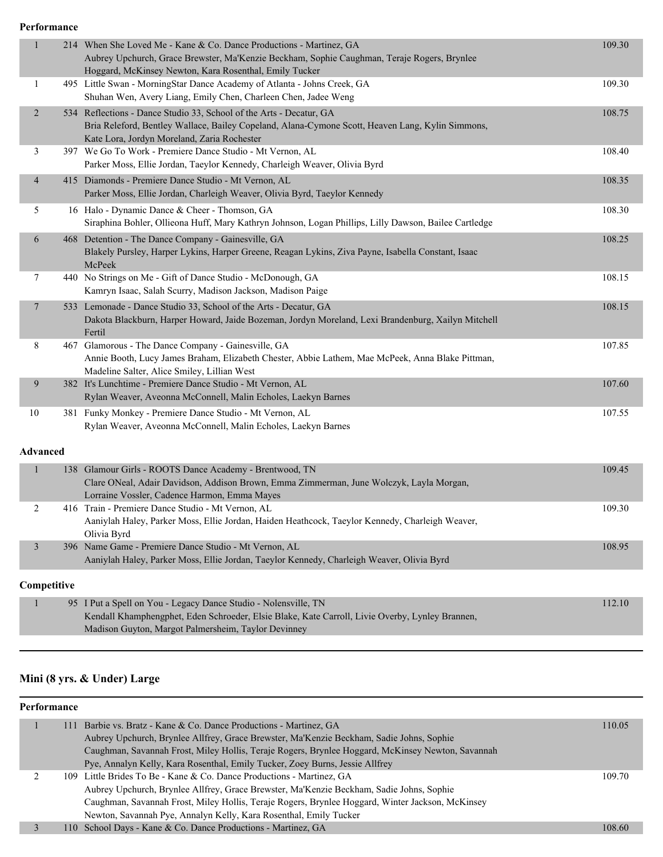**Performance**

| $\mathbf{1}$    | 214 When She Loved Me - Kane & Co. Dance Productions - Martinez, GA<br>Aubrey Upchurch, Grace Brewster, Ma'Kenzie Beckham, Sophie Caughman, Teraje Rogers, Brynlee<br>Hoggard, McKinsey Newton, Kara Rosenthal, Emily Tucker | 109.30 |
|-----------------|------------------------------------------------------------------------------------------------------------------------------------------------------------------------------------------------------------------------------|--------|
| 1               | 495 Little Swan - MorningStar Dance Academy of Atlanta - Johns Creek, GA<br>Shuhan Wen, Avery Liang, Emily Chen, Charleen Chen, Jadee Weng                                                                                   | 109.30 |
| $\overline{2}$  | 534 Reflections - Dance Studio 33, School of the Arts - Decatur, GA<br>Bria Releford, Bentley Wallace, Bailey Copeland, Alana-Cymone Scott, Heaven Lang, Kylin Simmons,<br>Kate Lora, Jordyn Moreland, Zaria Rochester       | 108.75 |
| 3               | 397 We Go To Work - Premiere Dance Studio - Mt Vernon, AL<br>Parker Moss, Ellie Jordan, Taeylor Kennedy, Charleigh Weaver, Olivia Byrd                                                                                       | 108.40 |
| 4               | 415 Diamonds - Premiere Dance Studio - Mt Vernon, AL<br>Parker Moss, Ellie Jordan, Charleigh Weaver, Olivia Byrd, Taeylor Kennedy                                                                                            | 108.35 |
| 5               | 16 Halo - Dynamic Dance & Cheer - Thomson, GA<br>Siraphina Bohler, Ollieona Huff, Mary Kathryn Johnson, Logan Phillips, Lilly Dawson, Bailee Cartledge                                                                       | 108.30 |
| 6               | 468 Detention - The Dance Company - Gainesville, GA<br>Blakely Pursley, Harper Lykins, Harper Greene, Reagan Lykins, Ziva Payne, Isabella Constant, Isaac<br>McPeek                                                          | 108.25 |
| 7               | 440 No Strings on Me - Gift of Dance Studio - McDonough, GA<br>Kamryn Isaac, Salah Scurry, Madison Jackson, Madison Paige                                                                                                    | 108.15 |
| 7               | 533 Lemonade - Dance Studio 33, School of the Arts - Decatur, GA<br>Dakota Blackburn, Harper Howard, Jaide Bozeman, Jordyn Moreland, Lexi Brandenburg, Xailyn Mitchell<br>Fertil                                             | 108.15 |
| 8               | 467 Glamorous - The Dance Company - Gainesville, GA<br>Annie Booth, Lucy James Braham, Elizabeth Chester, Abbie Lathem, Mae McPeek, Anna Blake Pittman,<br>Madeline Salter, Alice Smiley, Lillian West                       | 107.85 |
| 9               | 382 It's Lunchtime - Premiere Dance Studio - Mt Vernon, AL<br>Rylan Weaver, Aveonna McConnell, Malin Echoles, Laekyn Barnes                                                                                                  | 107.60 |
| 10              | 381 Funky Monkey - Premiere Dance Studio - Mt Vernon, AL<br>Rylan Weaver, Aveonna McConnell, Malin Echoles, Laekyn Barnes                                                                                                    | 107.55 |
| <b>Advanced</b> |                                                                                                                                                                                                                              |        |
| $\mathbf{1}$    | 138 Glamour Girls - ROOTS Dance Academy - Brentwood, TN<br>Clare ONeal, Adair Davidson, Addison Brown, Emma Zimmerman, June Wolczyk, Layla Morgan,<br>Lorraine Vossler, Cadence Harmon, Emma Mayes                           | 109.45 |
| 2               | 416 Train - Premiere Dance Studio - Mt Vernon, AL<br>Aaniylah Haley, Parker Moss, Ellie Jordan, Haiden Heathcock, Taeylor Kennedy, Charleigh Weaver,<br>Olivia Byrd                                                          | 109.30 |
| 3               | 396 Name Game - Premiere Dance Studio - Mt Vernon, AL<br>Aaniylah Haley, Parker Moss, Ellie Jordan, Taeylor Kennedy, Charleigh Weaver, Olivia Byrd                                                                           | 108.95 |
| Competitive     |                                                                                                                                                                                                                              |        |
|                 | 95 I Put a Spell on You - Legacy Dance Studio - Nolensville, TN<br>Kendall Khamphengphet, Eden Schroeder, Elsie Blake, Kate Carroll, Livie Overby, Lynley Brannen,<br>Madison Guyton, Margot Palmersheim, Taylor Devinney    | 112.10 |

## **Mini (8 yrs. & Under) Large**

#### **Performance**

|  | 111 Barbie vs. Bratz - Kane & Co. Dance Productions - Martinez, GA                                | 110.05 |
|--|---------------------------------------------------------------------------------------------------|--------|
|  | Aubrey Upchurch, Brynlee Allfrey, Grace Brewster, Ma'Kenzie Beckham, Sadie Johns, Sophie          |        |
|  | Caughman, Savannah Frost, Miley Hollis, Teraje Rogers, Brynlee Hoggard, McKinsey Newton, Savannah |        |
|  | Pye, Annalyn Kelly, Kara Rosenthal, Emily Tucker, Zoey Burns, Jessie Allfrey                      |        |
|  | 109 Little Brides To Be - Kane & Co. Dance Productions - Martinez, GA                             | 109.70 |
|  | Aubrey Upchurch, Brynlee Allfrey, Grace Brewster, Ma'Kenzie Beckham, Sadie Johns, Sophie          |        |
|  | Caughman, Savannah Frost, Miley Hollis, Teraje Rogers, Brynlee Hoggard, Winter Jackson, McKinsey  |        |
|  | Newton, Savannah Pye, Annalyn Kelly, Kara Rosenthal, Emily Tucker                                 |        |
|  | 110 School Days - Kane & Co. Dance Productions - Martinez, GA                                     | 108.60 |
|  |                                                                                                   |        |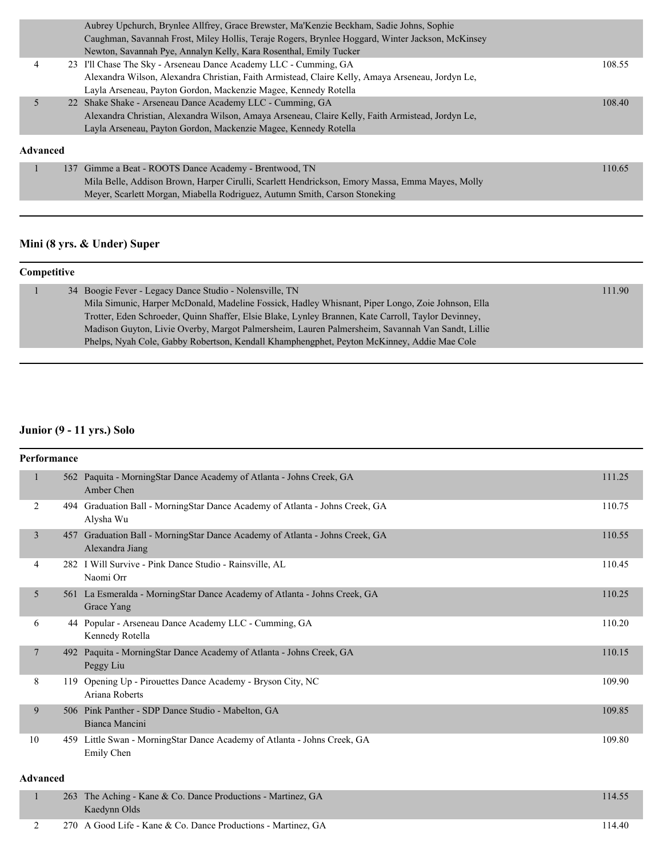|          | Aubrey Upchurch, Brynlee Allfrey, Grace Brewster, Ma'Kenzie Beckham, Sadie Johns, Sophie         |        |
|----------|--------------------------------------------------------------------------------------------------|--------|
|          | Caughman, Savannah Frost, Miley Hollis, Teraje Rogers, Brynlee Hoggard, Winter Jackson, McKinsey |        |
|          | Newton, Savannah Pye, Annalyn Kelly, Kara Rosenthal, Emily Tucker                                |        |
| 4        | 23 I'll Chase The Sky - Arseneau Dance Academy LLC - Cumming, GA                                 | 108.55 |
|          | Alexandra Wilson, Alexandra Christian, Faith Armistead, Claire Kelly, Amaya Arseneau, Jordyn Le, |        |
|          | Layla Arseneau, Payton Gordon, Mackenzie Magee, Kennedy Rotella                                  |        |
|          | 22 Shake Shake - Arseneau Dance Academy LLC - Cumming, GA                                        | 108.40 |
|          | Alexandra Christian, Alexandra Wilson, Amaya Arseneau, Claire Kelly, Faith Armistead, Jordyn Le, |        |
|          | Layla Arseneau, Payton Gordon, Mackenzie Magee, Kennedy Rotella                                  |        |
| Advanced |                                                                                                  |        |
|          | 137 Gimme a Beat - ROOTS Dance Academy - Brentwood, TN                                           | 110.65 |
|          | Mila Belle, Addison Brown, Harper Cirulli, Scarlett Hendrickson, Emory Massa, Emma Mayes, Molly  |        |

Meyer, Scarlett Morgan, Miabella Rodriguez, Autumn Smith, Carson Stoneking

### **Mini (8 yrs. & Under) Super**

| Competitive |  |                                                                                                     |        |  |
|-------------|--|-----------------------------------------------------------------------------------------------------|--------|--|
|             |  | 34 Boogie Fever - Legacy Dance Studio - Nolensville, TN                                             | 111.90 |  |
|             |  | Mila Simunic, Harper McDonald, Madeline Fossick, Hadley Whisnant, Piper Longo, Zoie Johnson, Ella   |        |  |
|             |  | Trotter, Eden Schroeder, Quinn Shaffer, Elsie Blake, Lynley Brannen, Kate Carroll, Taylor Devinney, |        |  |
|             |  | Madison Guyton, Livie Overby, Margot Palmersheim, Lauren Palmersheim, Savannah Van Sandt, Lillie    |        |  |
|             |  | Phelps, Nyah Cole, Gabby Robertson, Kendall Khamphengphet, Peyton McKinney, Addie Mae Cole          |        |  |

# **Junior (9 - 11 yrs.) Solo**

| <b>Performance</b> |     |                                                                                                 |        |  |
|--------------------|-----|-------------------------------------------------------------------------------------------------|--------|--|
| $\mathbf{1}$       |     | 562 Paquita - MorningStar Dance Academy of Atlanta - Johns Creek, GA<br>Amber Chen              | 111.25 |  |
| 2                  |     | 494 Graduation Ball - MorningStar Dance Academy of Atlanta - Johns Creek, GA<br>Alysha Wu       | 110.75 |  |
| 3                  |     | 457 Graduation Ball - MorningStar Dance Academy of Atlanta - Johns Creek, GA<br>Alexandra Jiang | 110.55 |  |
| 4                  |     | 282 I Will Survive - Pink Dance Studio - Rainsville, AL<br>Naomi Orr                            | 110.45 |  |
| 5                  |     | 561 La Esmeralda - MorningStar Dance Academy of Atlanta - Johns Creek, GA<br>Grace Yang         | 110.25 |  |
| 6                  |     | 44 Popular - Arseneau Dance Academy LLC - Cumming, GA<br>Kennedy Rotella                        | 110.20 |  |
| 7                  |     | 492 Paquita - MorningStar Dance Academy of Atlanta - Johns Creek, GA<br>Peggy Liu               | 110.15 |  |
| 8                  |     | 119 Opening Up - Pirouettes Dance Academy - Bryson City, NC<br>Ariana Roberts                   | 109.90 |  |
| 9                  |     | 506 Pink Panther - SDP Dance Studio - Mabelton, GA<br>Bianca Mancini                            | 109.85 |  |
| 10                 |     | 459 Little Swan - MorningStar Dance Academy of Atlanta - Johns Creek, GA<br>Emily Chen          | 109.80 |  |
| <b>Advanced</b>    |     |                                                                                                 |        |  |
| $\mathbf{1}$       | 263 | The Aching - Kane & Co. Dance Productions - Martinez, GA<br>Kaedynn Olds                        | 114.55 |  |

2 270 A Good Life - Kane & Co. Dance Productions - Martinez, GA 114.40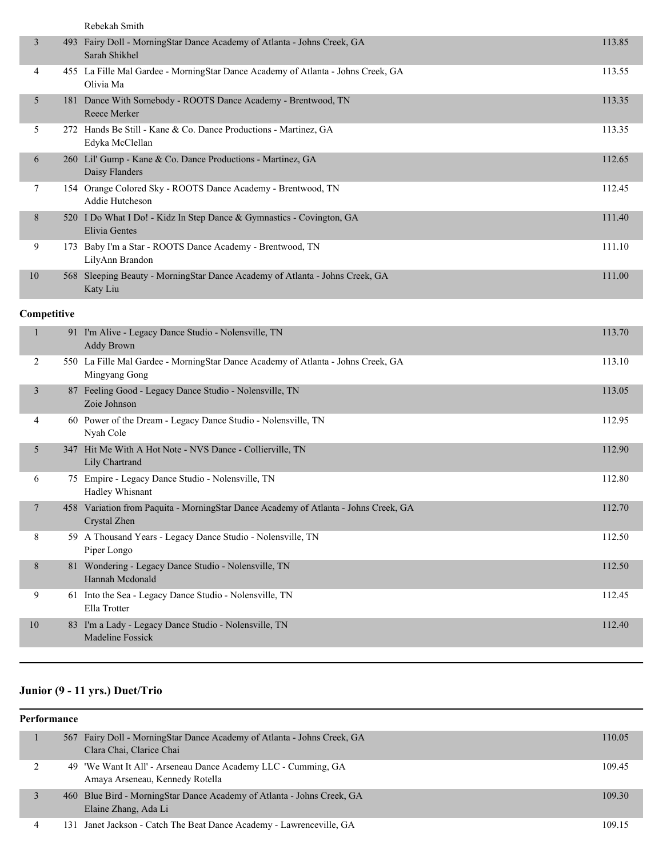|                |             | Rebekah Smith                                                                                       |        |
|----------------|-------------|-----------------------------------------------------------------------------------------------------|--------|
| 3              |             | 493 Fairy Doll - MorningStar Dance Academy of Atlanta - Johns Creek, GA<br>Sarah Shikhel            | 113.85 |
| 4              |             | 455 La Fille Mal Gardee - MorningStar Dance Academy of Atlanta - Johns Creek, GA<br>Olivia Ma       | 113.55 |
| 5              |             | 181 Dance With Somebody - ROOTS Dance Academy - Brentwood, TN<br>Reece Merker                       | 113.35 |
| 5              |             | 272 Hands Be Still - Kane & Co. Dance Productions - Martinez, GA<br>Edyka McClellan                 | 113.35 |
| 6              |             | 260 Lil' Gump - Kane & Co. Dance Productions - Martinez, GA<br>Daisy Flanders                       | 112.65 |
| 7              |             | 154 Orange Colored Sky - ROOTS Dance Academy - Brentwood, TN<br>Addie Hutcheson                     | 112.45 |
| 8              |             | 520 I Do What I Do! - Kidz In Step Dance & Gymnastics - Covington, GA<br>Elivia Gentes              | 111.40 |
| 9              |             | 173 Baby I'm a Star - ROOTS Dance Academy - Brentwood, TN<br>LilyAnn Brandon                        | 111.10 |
| $10\,$         |             | 568 Sleeping Beauty - MorningStar Dance Academy of Atlanta - Johns Creek, GA<br>Katy Liu            | 111.00 |
|                | Competitive |                                                                                                     |        |
| $\mathbf{1}$   |             | 91 I'm Alive - Legacy Dance Studio - Nolensville, TN<br><b>Addy Brown</b>                           | 113.70 |
| 2              |             | 550 La Fille Mal Gardee - MorningStar Dance Academy of Atlanta - Johns Creek, GA<br>Mingyang Gong   | 113.10 |
| $\mathfrak{Z}$ |             | 87 Feeling Good - Legacy Dance Studio - Nolensville, TN<br>Zoie Johnson                             | 113.05 |
| 4              |             | 60 Power of the Dream - Legacy Dance Studio - Nolensville, TN<br>Nyah Cole                          | 112.95 |
| 5              |             | 347 Hit Me With A Hot Note - NVS Dance - Collierville, TN<br>Lily Chartrand                         | 112.90 |
| 6              |             | 75 Empire - Legacy Dance Studio - Nolensville, TN<br>Hadley Whisnant                                | 112.80 |
| $\overline{7}$ |             | 458 Variation from Paquita - MorningStar Dance Academy of Atlanta - Johns Creek, GA<br>Crystal Zhen | 112.70 |
| 8              |             | 59 A Thousand Years - Legacy Dance Studio - Nolensville, TN<br>Piper Longo                          | 112.50 |
| 8              |             | 81 Wondering - Legacy Dance Studio - Nolensville, TN<br>Hannah Mcdonald                             | 112.50 |
| 9              |             | 61 Into the Sea - Legacy Dance Studio - Nolensville, TN<br>Ella Trotter                             | 112.45 |
| $10\,$         |             | 83 I'm a Lady - Legacy Dance Studio - Nolensville, TN<br>Madeline Fossick                           | 112.40 |

# **Junior (9 - 11 yrs.) Duet/Trio**

| Performance |   |  |                                                                                                      |        |
|-------------|---|--|------------------------------------------------------------------------------------------------------|--------|
|             |   |  | 567 Fairy Doll - Morning Star Dance Academy of Atlanta - Johns Creek, GA<br>Clara Chai, Clarice Chai | 110.05 |
|             |   |  | 49 'We Want It All' - Arseneau Dance Academy LLC - Cumming, GA<br>Amaya Arseneau, Kennedy Rotella    | 109.45 |
|             |   |  | 460 Blue Bird - Morning Star Dance Academy of Atlanta - Johns Creek, GA<br>Elaine Zhang, Ada Li      | 109.30 |
|             | 4 |  | 131 Janet Jackson - Catch The Beat Dance Academy - Lawrenceville, GA                                 | 109.15 |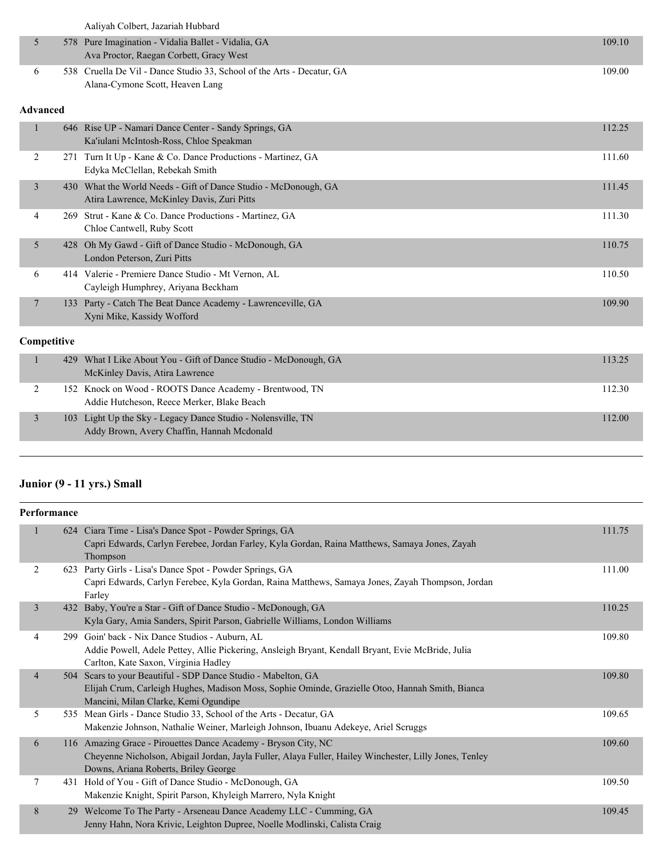|   | Aaliyah Colbert, Jazariah Hubbard                                                                         |        |
|---|-----------------------------------------------------------------------------------------------------------|--------|
|   | 578 Pure Imagination - Vidalia Ballet - Vidalia, GA<br>Ava Proctor, Raegan Corbett, Gracy West            | 109.10 |
| 6 | 538 Cruella De Vil - Dance Studio 33, School of the Arts - Decatur, GA<br>Alana-Cymone Scott, Heaven Lang | 109.00 |

### **Advanced**

| $\mathbf{1}$          | 646 Rise UP - Namari Dance Center - Sandy Springs, GA<br>Ka'iulani McIntosh-Ross, Chloe Speakman          | 112.25 |
|-----------------------|-----------------------------------------------------------------------------------------------------------|--------|
| 2<br>271              | Turn It Up - Kane & Co. Dance Productions - Martinez, GA<br>Edyka McClellan, Rebekah Smith                | 111.60 |
| $\overline{3}$<br>430 | What the World Needs - Gift of Dance Studio - McDonough, GA<br>Atira Lawrence, McKinley Davis, Zuri Pitts | 111.45 |
| 4<br>269              | Strut - Kane & Co. Dance Productions - Martinez, GA<br>Chloe Cantwell, Ruby Scott                         | 111.30 |
| 5                     | 428 Oh My Gawd - Gift of Dance Studio - McDonough, GA<br>London Peterson, Zuri Pitts                      | 110.75 |
| 6                     | 414 Valerie - Premiere Dance Studio - Mt Vernon, AL<br>Cayleigh Humphrey, Ariyana Beckham                 | 110.50 |
| $\overline{7}$<br>133 | Party - Catch The Beat Dance Academy - Lawrenceville, GA<br>Xyni Mike, Kassidy Wofford                    | 109.90 |
| Competitive           |                                                                                                           |        |
| $\mathbf{1}$<br>429   | What I Like About You - Gift of Dance Studio - McDonough, GA<br>McKinley Davis, Atira Lawrence            | 113.25 |
| 2<br>152              | Knock on Wood - ROOTS Dance Academy - Brentwood, TN<br>Addie Hutcheson, Reece Merker, Blake Beach         | 112.30 |
| $\overline{3}$<br>103 | Light Up the Sky - Legacy Dance Studio - Nolensville, TN<br>Addy Brown, Avery Chaffin, Hannah Mcdonald    | 112.00 |

# **Junior (9 - 11 yrs.) Small**

| Performance    |     |                                                                                                                                                                                                                  |        |
|----------------|-----|------------------------------------------------------------------------------------------------------------------------------------------------------------------------------------------------------------------|--------|
| $\mathbf{1}$   |     | 624 Ciara Time - Lisa's Dance Spot - Powder Springs, GA<br>Capri Edwards, Carlyn Ferebee, Jordan Farley, Kyla Gordan, Raina Matthews, Samaya Jones, Zayah<br>Thompson                                            | 111.75 |
| 2              |     | 623 Party Girls - Lisa's Dance Spot - Powder Springs, GA<br>Capri Edwards, Carlyn Ferebee, Kyla Gordan, Raina Matthews, Samaya Jones, Zayah Thompson, Jordan<br>Farley                                           | 111.00 |
| $\mathfrak{Z}$ |     | 432 Baby, You're a Star - Gift of Dance Studio - McDonough, GA<br>Kyla Gary, Amia Sanders, Spirit Parson, Gabrielle Williams, London Williams                                                                    | 110.25 |
| 4              |     | 299 Goin' back - Nix Dance Studios - Auburn, AL<br>Addie Powell, Adele Pettey, Allie Pickering, Ansleigh Bryant, Kendall Bryant, Evie McBride, Julia<br>Carlton, Kate Saxon, Virginia Hadley                     | 109.80 |
| $\overline{4}$ | 504 | Scars to your Beautiful - SDP Dance Studio - Mabelton, GA<br>Elijah Crum, Carleigh Hughes, Madison Moss, Sophie Ominde, Grazielle Otoo, Hannah Smith, Bianca<br>Mancini, Milan Clarke, Kemi Ogundipe             | 109.80 |
| 5              |     | 535 Mean Girls - Dance Studio 33, School of the Arts - Decatur, GA<br>Makenzie Johnson, Nathalie Weiner, Marleigh Johnson, Ibuanu Adekeye, Ariel Scruggs                                                         | 109.65 |
| 6              |     | 116 Amazing Grace - Pirouettes Dance Academy - Bryson City, NC<br>Cheyenne Nicholson, Abigail Jordan, Jayla Fuller, Alaya Fuller, Hailey Winchester, Lilly Jones, Tenley<br>Downs, Ariana Roberts, Briley George | 109.60 |
| 7              |     | 431 Hold of You - Gift of Dance Studio - McDonough, GA<br>Makenzie Knight, Spirit Parson, Khyleigh Marrero, Nyla Knight                                                                                          | 109.50 |
| 8              |     | 29 Welcome To The Party - Arseneau Dance Academy LLC - Cumming, GA<br>Jenny Hahn, Nora Krivic, Leighton Dupree, Noelle Modlinski, Calista Craig                                                                  | 109.45 |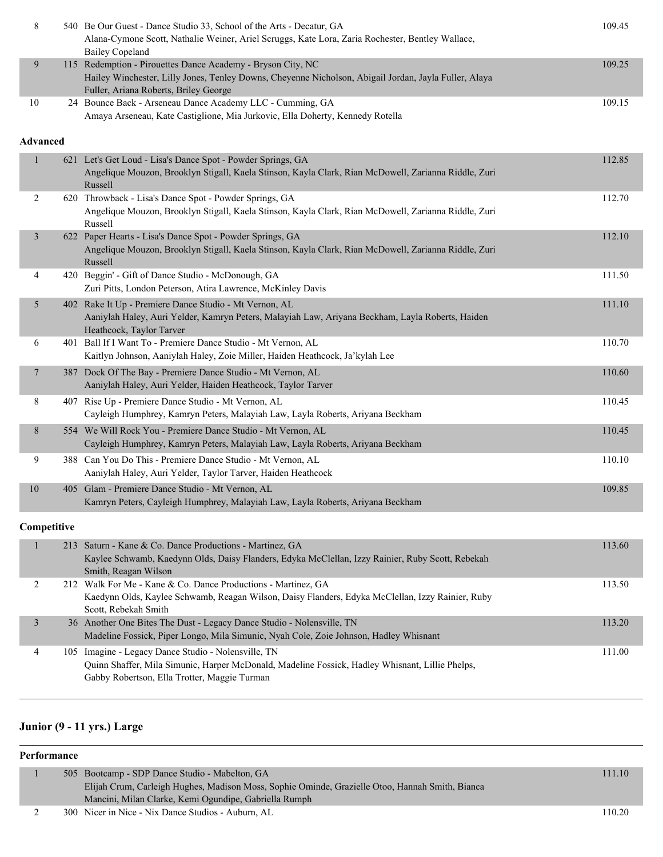| 8              | 540 Be Our Guest - Dance Studio 33, School of the Arts - Decatur, GA<br>Alana-Cymone Scott, Nathalie Weiner, Ariel Scruggs, Kate Lora, Zaria Rochester, Bentley Wallace,<br><b>Bailey Copeland</b>            | 109.45 |
|----------------|---------------------------------------------------------------------------------------------------------------------------------------------------------------------------------------------------------------|--------|
| 9              | 115 Redemption - Pirouettes Dance Academy - Bryson City, NC<br>Hailey Winchester, Lilly Jones, Tenley Downs, Cheyenne Nicholson, Abigail Jordan, Jayla Fuller, Alaya<br>Fuller, Ariana Roberts, Briley George | 109.25 |
| 10             | 24 Bounce Back - Arseneau Dance Academy LLC - Cumming, GA<br>Amaya Arseneau, Kate Castiglione, Mia Jurkovic, Ella Doherty, Kennedy Rotella                                                                    | 109.15 |
| Advanced       |                                                                                                                                                                                                               |        |
| $\mathbf{1}$   | 621 Let's Get Loud - Lisa's Dance Spot - Powder Springs, GA<br>Angelique Mouzon, Brooklyn Stigall, Kaela Stinson, Kayla Clark, Rian McDowell, Zarianna Riddle, Zuri<br>Russell                                | 112.85 |
| 2              | 620 Throwback - Lisa's Dance Spot - Powder Springs, GA<br>Angelique Mouzon, Brooklyn Stigall, Kaela Stinson, Kayla Clark, Rian McDowell, Zarianna Riddle, Zuri<br>Russell                                     | 112.70 |
| 3              | 622 Paper Hearts - Lisa's Dance Spot - Powder Springs, GA<br>Angelique Mouzon, Brooklyn Stigall, Kaela Stinson, Kayla Clark, Rian McDowell, Zarianna Riddle, Zuri<br>Russell                                  | 112.10 |
| 4              | 420 Beggin' - Gift of Dance Studio - McDonough, GA<br>Zuri Pitts, London Peterson, Atira Lawrence, McKinley Davis                                                                                             | 111.50 |
| 5              | 402 Rake It Up - Premiere Dance Studio - Mt Vernon, AL<br>Aaniylah Haley, Auri Yelder, Kamryn Peters, Malayiah Law, Ariyana Beckham, Layla Roberts, Haiden<br>Heathcock, Taylor Tarver                        | 111.10 |
| 6              | 401 Ball If I Want To - Premiere Dance Studio - Mt Vernon, AL<br>Kaitlyn Johnson, Aaniylah Haley, Zoie Miller, Haiden Heathcock, Ja'kylah Lee                                                                 | 110.70 |
| $\overline{7}$ | 387 Dock Of The Bay - Premiere Dance Studio - Mt Vernon, AL<br>Aaniylah Haley, Auri Yelder, Haiden Heathcock, Taylor Tarver                                                                                   | 110.60 |
| 8              | 407 Rise Up - Premiere Dance Studio - Mt Vernon, AL<br>Cayleigh Humphrey, Kamryn Peters, Malayiah Law, Layla Roberts, Ariyana Beckham                                                                         | 110.45 |
| 8              | 554 We Will Rock You - Premiere Dance Studio - Mt Vernon, AL<br>Cayleigh Humphrey, Kamryn Peters, Malayiah Law, Layla Roberts, Ariyana Beckham                                                                | 110.45 |
| 9              | 388 Can You Do This - Premiere Dance Studio - Mt Vernon, AL<br>Aaniylah Haley, Auri Yelder, Taylor Tarver, Haiden Heathcock                                                                                   | 110.10 |
| 10             | 405 Glam - Premiere Dance Studio - Mt Vernon, AL<br>Kamryn Peters, Cayleigh Humphrey, Malayiah Law, Layla Roberts, Ariyana Beckham                                                                            | 109.85 |
| Competitive    |                                                                                                                                                                                                               |        |
| $\mathbf{1}$   | 213 Saturn - Kane & Co. Dance Productions - Martinez, GA<br>Kaylee Schwamb, Kaedynn Olds, Daisy Flanders, Edyka McClellan, Izzy Rainier, Ruby Scott, Rebekah<br>Smith, Reagan Wilson                          | 113.60 |
| $\overline{c}$ | 212 Walk For Me - Kane & Co. Dance Productions - Martinez, GA<br>Kaedynn Olds, Kaylee Schwamb, Reagan Wilson, Daisy Flanders, Edyka McClellan, Izzy Rainier, Ruby<br>Scott, Rebekah Smith                     | 113.50 |
| 3              | 36 Another One Bites The Dust - Legacy Dance Studio - Nolensville, TN<br>Madeline Fossick, Piper Longo, Mila Simunic, Nyah Cole, Zoie Johnson, Hadley Whisnant                                                | 113.20 |
| 4              | 105 Imagine - Legacy Dance Studio - Nolensville, TN<br>Quinn Shaffer, Mila Simunic, Harper McDonald, Madeline Fossick, Hadley Whisnant, Lillie Phelps,<br>Gabby Robertson, Ella Trotter, Maggie Turman        | 111.00 |

## **Junior (9 - 11 yrs.) Large**

## **Performance** 1 505 Bootcamp - SDP Dance Studio - Mabelton, GA 111.10 Elijah Crum, Carleigh Hughes, Madison Moss, Sophie Ominde, Grazielle Otoo, Hannah Smith, Bianca Mancini, Milan Clarke, Kemi Ogundipe, Gabriella Rumph 2 300 Nicer in Nice - Nix Dance Studios - Auburn, AL 110.20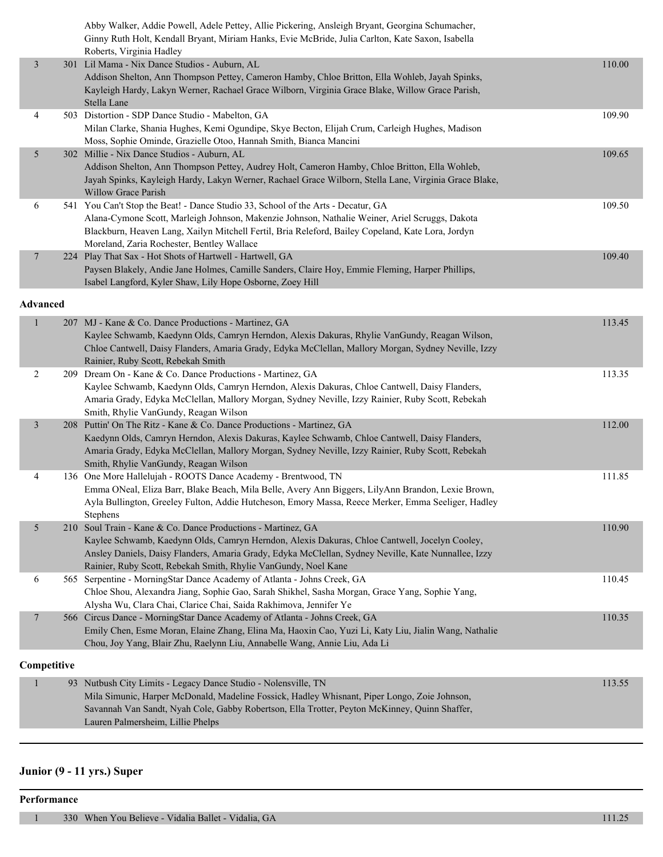|                 | Abby Walker, Addie Powell, Adele Pettey, Allie Pickering, Ansleigh Bryant, Georgina Schumacher,<br>Ginny Ruth Holt, Kendall Bryant, Miriam Hanks, Evie McBride, Julia Carlton, Kate Saxon, Isabella<br>Roberts, Virginia Hadley |        |
|-----------------|---------------------------------------------------------------------------------------------------------------------------------------------------------------------------------------------------------------------------------|--------|
| $\mathfrak{Z}$  | 301 Lil Mama - Nix Dance Studios - Auburn, AL                                                                                                                                                                                   | 110.00 |
|                 | Addison Shelton, Ann Thompson Pettey, Cameron Hamby, Chloe Britton, Ella Wohleb, Jayah Spinks,                                                                                                                                  |        |
|                 | Kayleigh Hardy, Lakyn Werner, Rachael Grace Wilborn, Virginia Grace Blake, Willow Grace Parish,                                                                                                                                 |        |
|                 | Stella Lane                                                                                                                                                                                                                     |        |
| 4               | 503 Distortion - SDP Dance Studio - Mabelton, GA                                                                                                                                                                                | 109.90 |
|                 | Milan Clarke, Shania Hughes, Kemi Ogundipe, Skye Becton, Elijah Crum, Carleigh Hughes, Madison                                                                                                                                  |        |
|                 | Moss, Sophie Ominde, Grazielle Otoo, Hannah Smith, Bianca Mancini                                                                                                                                                               |        |
| 5               | 302 Millie - Nix Dance Studios - Auburn, AL                                                                                                                                                                                     | 109.65 |
|                 | Addison Shelton, Ann Thompson Pettey, Audrey Holt, Cameron Hamby, Chloe Britton, Ella Wohleb,                                                                                                                                   |        |
|                 | Jayah Spinks, Kayleigh Hardy, Lakyn Werner, Rachael Grace Wilborn, Stella Lane, Virginia Grace Blake,                                                                                                                           |        |
|                 | Willow Grace Parish                                                                                                                                                                                                             |        |
| 6               | 541 You Can't Stop the Beat! - Dance Studio 33, School of the Arts - Decatur, GA                                                                                                                                                | 109.50 |
|                 | Alana-Cymone Scott, Marleigh Johnson, Makenzie Johnson, Nathalie Weiner, Ariel Scruggs, Dakota                                                                                                                                  |        |
|                 | Blackburn, Heaven Lang, Xailyn Mitchell Fertil, Bria Releford, Bailey Copeland, Kate Lora, Jordyn                                                                                                                               |        |
|                 | Moreland, Zaria Rochester, Bentley Wallace                                                                                                                                                                                      |        |
| $\overline{7}$  | 224 Play That Sax - Hot Shots of Hartwell - Hartwell, GA                                                                                                                                                                        | 109.40 |
|                 | Paysen Blakely, Andie Jane Holmes, Camille Sanders, Claire Hoy, Emmie Fleming, Harper Phillips,<br>Isabel Langford, Kyler Shaw, Lily Hope Osborne, Zoey Hill                                                                    |        |
|                 |                                                                                                                                                                                                                                 |        |
| <b>Advanced</b> |                                                                                                                                                                                                                                 |        |
| $\mathbf{1}$    | 207 MJ - Kane & Co. Dance Productions - Martinez, GA                                                                                                                                                                            | 113.45 |
|                 | Kaylee Schwamb, Kaedynn Olds, Camryn Herndon, Alexis Dakuras, Rhylie VanGundy, Reagan Wilson,                                                                                                                                   |        |
|                 | Chloe Cantwell, Daisy Flanders, Amaria Grady, Edyka McClellan, Mallory Morgan, Sydney Neville, Izzy                                                                                                                             |        |
|                 | Rainier, Ruby Scott, Rebekah Smith                                                                                                                                                                                              |        |
| 2               | 209 Dream On - Kane & Co. Dance Productions - Martinez, GA                                                                                                                                                                      | 113.35 |
|                 | Kaylee Schwamb, Kaedynn Olds, Camryn Herndon, Alexis Dakuras, Chloe Cantwell, Daisy Flanders,<br>Amaria Grady, Edyka McClellan, Mallory Morgan, Sydney Neville, Izzy Rainier, Ruby Scott, Rebekah                               |        |
|                 | Smith, Rhylie VanGundy, Reagan Wilson                                                                                                                                                                                           |        |
| $\mathfrak{Z}$  | 208 Puttin' On The Ritz - Kane & Co. Dance Productions - Martinez, GA                                                                                                                                                           | 112.00 |
|                 | Kaedynn Olds, Camryn Herndon, Alexis Dakuras, Kaylee Schwamb, Chloe Cantwell, Daisy Flanders,                                                                                                                                   |        |
|                 | Amaria Grady, Edyka McClellan, Mallory Morgan, Sydney Neville, Izzy Rainier, Ruby Scott, Rebekah                                                                                                                                |        |
|                 | Smith, Rhylie VanGundy, Reagan Wilson                                                                                                                                                                                           |        |
| 4               | 136 One More Hallelujah - ROOTS Dance Academy - Brentwood, TN                                                                                                                                                                   | 111.85 |
|                 | Emma ONeal, Eliza Barr, Blake Beach, Mila Belle, Avery Ann Biggers, LilyAnn Brandon, Lexie Brown,                                                                                                                               |        |
|                 | Ayla Bullington, Greeley Fulton, Addie Hutcheson, Emory Massa, Reece Merker, Emma Seeliger, Hadley                                                                                                                              |        |
|                 | Stephens                                                                                                                                                                                                                        |        |
| 5               | 210 Soul Train - Kane & Co. Dance Productions - Martinez, GA                                                                                                                                                                    | 110.90 |
|                 | Kaylee Schwamb, Kaedynn Olds, Camryn Herndon, Alexis Dakuras, Chloe Cantwell, Jocelyn Cooley,                                                                                                                                   |        |
|                 | Ansley Daniels, Daisy Flanders, Amaria Grady, Edyka McClellan, Sydney Neville, Kate Nunnallee, Izzy                                                                                                                             |        |
|                 | Rainier, Ruby Scott, Rebekah Smith, Rhylie VanGundy, Noel Kane                                                                                                                                                                  |        |
| 6               | 565 Serpentine - MorningStar Dance Academy of Atlanta - Johns Creek, GA                                                                                                                                                         | 110.45 |
|                 | Chloe Shou, Alexandra Jiang, Sophie Gao, Sarah Shikhel, Sasha Morgan, Grace Yang, Sophie Yang,                                                                                                                                  |        |
|                 | Alysha Wu, Clara Chai, Clarice Chai, Saida Rakhimova, Jennifer Ye                                                                                                                                                               |        |
| $\overline{7}$  | 566 Circus Dance - MorningStar Dance Academy of Atlanta - Johns Creek, GA                                                                                                                                                       | 110.35 |
|                 | Emily Chen, Esme Moran, Elaine Zhang, Elina Ma, Haoxin Cao, Yuzi Li, Katy Liu, Jialin Wang, Nathalie<br>Chou, Joy Yang, Blair Zhu, Raelynn Liu, Annabelle Wang, Annie Liu, Ada Li                                               |        |
|                 |                                                                                                                                                                                                                                 |        |
| Competitive     |                                                                                                                                                                                                                                 |        |
| 1               | 93 Nutbush City Limits - Legacy Dance Studio - Nolensville, TN                                                                                                                                                                  | 113.55 |
|                 | Mila Simunic, Harper McDonald, Madeline Fossick, Hadley Whisnant, Piper Longo, Zoie Johnson,                                                                                                                                    |        |
|                 | Savannah Van Sandt, Nyah Cole, Gabby Robertson, Ella Trotter, Peyton McKinney, Quinn Shaffer,                                                                                                                                   |        |
|                 | Lauren Palmersheim, Lillie Phelps                                                                                                                                                                                               |        |

# **Junior (9 - 11 yrs.) Super**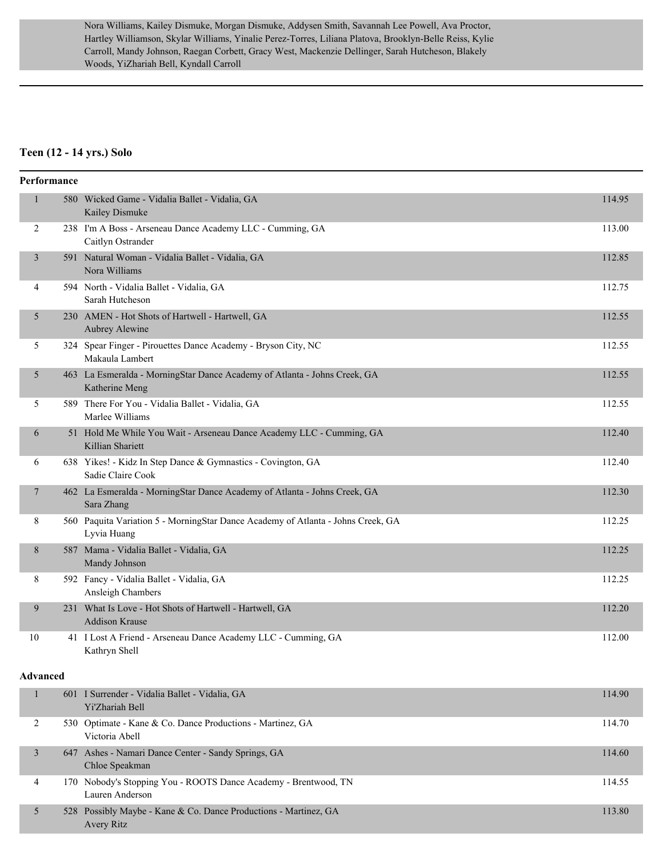Nora Williams, Kailey Dismuke, Morgan Dismuke, Addysen Smith, Savannah Lee Powell, Ava Proctor, Hartley Williamson, Skylar Williams, Yinalie Perez-Torres, Liliana Platova, Brooklyn-Belle Reiss, Kylie Carroll, Mandy Johnson, Raegan Corbett, Gracy West, Mackenzie Dellinger, Sarah Hutcheson, Blakely Woods, YiZhariah Bell, Kyndall Carroll

## **Teen (12 - 14 yrs.) Solo**

| Performance    |                                                                                                 |        |
|----------------|-------------------------------------------------------------------------------------------------|--------|
| $\mathbf{1}$   | 580 Wicked Game - Vidalia Ballet - Vidalia, GA<br>Kailey Dismuke                                | 114.95 |
| $\overline{2}$ | 238 I'm A Boss - Arseneau Dance Academy LLC - Cumming, GA<br>Caitlyn Ostrander                  | 113.00 |
| 3              | 591 Natural Woman - Vidalia Ballet - Vidalia, GA<br>Nora Williams                               | 112.85 |
| 4              | 594 North - Vidalia Ballet - Vidalia, GA<br>Sarah Hutcheson                                     | 112.75 |
| 5              | 230 AMEN - Hot Shots of Hartwell - Hartwell, GA<br>Aubrey Alewine                               | 112.55 |
| 5              | 324 Spear Finger - Pirouettes Dance Academy - Bryson City, NC<br>Makaula Lambert                | 112.55 |
| 5              | 463 La Esmeralda - MorningStar Dance Academy of Atlanta - Johns Creek, GA<br>Katherine Meng     | 112.55 |
| 5              | 589 There For You - Vidalia Ballet - Vidalia, GA<br>Marlee Williams                             | 112.55 |
| 6              | 51 Hold Me While You Wait - Arseneau Dance Academy LLC - Cumming, GA<br>Killian Shariett        | 112.40 |
| 6              | 638 Yikes! - Kidz In Step Dance & Gymnastics - Covington, GA<br>Sadie Claire Cook               | 112.40 |
| 7              | 462 La Esmeralda - MorningStar Dance Academy of Atlanta - Johns Creek, GA<br>Sara Zhang         | 112.30 |
| 8              | 560 Paquita Variation 5 - MorningStar Dance Academy of Atlanta - Johns Creek, GA<br>Lyvia Huang | 112.25 |
| $8\,$          | 587 Mama - Vidalia Ballet - Vidalia, GA<br>Mandy Johnson                                        | 112.25 |
| 8              | 592 Fancy - Vidalia Ballet - Vidalia, GA<br>Ansleigh Chambers                                   | 112.25 |
| 9              | 231 What Is Love - Hot Shots of Hartwell - Hartwell, GA<br><b>Addison Krause</b>                | 112.20 |
| 10             | 41 I Lost A Friend - Arseneau Dance Academy LLC - Cumming, GA<br>Kathryn Shell                  | 112.00 |
| Advanced       |                                                                                                 |        |
| 1              | 601 I Surrender - Vidalia Ballet - Vidalia, GA<br>Yi'Zhariah Bell                               | 114.90 |
| 2              | 530 Optimate - Kane & Co. Dance Productions - Martinez, GA<br>Victoria Abell                    | 114.70 |
| 3              | 647 Ashes - Namari Dance Center - Sandy Springs, GA<br>Chloe Speakman                           | 114.60 |
| 4              | 170 Nobody's Stopping You - ROOTS Dance Academy - Brentwood, TN<br>Lauren Anderson              | 114.55 |
| 5              | 528 Possibly Maybe - Kane & Co. Dance Productions - Martinez, GA<br>Avery Ritz                  | 113.80 |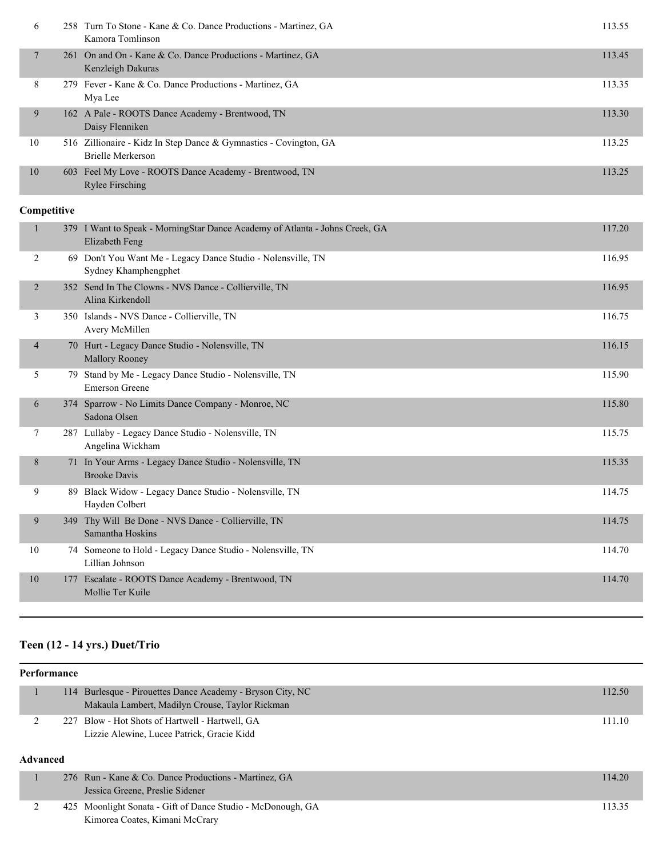| 6              |     | 258 Turn To Stone - Kane & Co. Dance Productions - Martinez, GA<br>Kamora Tomlinson            | 113.55 |
|----------------|-----|------------------------------------------------------------------------------------------------|--------|
| $\tau$         |     | 261 On and On - Kane & Co. Dance Productions - Martinez, GA<br>Kenzleigh Dakuras               | 113.45 |
| 8              |     | 279 Fever - Kane & Co. Dance Productions - Martinez, GA<br>Mya Lee                             | 113.35 |
| 9              |     | 162 A Pale - ROOTS Dance Academy - Brentwood, TN<br>Daisy Flenniken                            | 113.30 |
| 10             |     | 516 Zillionaire - Kidz In Step Dance & Gymnastics - Covington, GA<br>Brielle Merkerson         | 113.25 |
| 10             |     | 603 Feel My Love - ROOTS Dance Academy - Brentwood, TN<br><b>Rylee Firsching</b>               | 113.25 |
| Competitive    |     |                                                                                                |        |
| $\mathbf{1}$   |     | 379 I Want to Speak - MorningStar Dance Academy of Atlanta - Johns Creek, GA<br>Elizabeth Feng | 117.20 |
| 2              |     | 69 Don't You Want Me - Legacy Dance Studio - Nolensville, TN<br>Sydney Khamphengphet           | 116.95 |
| $\overline{2}$ |     | 352 Send In The Clowns - NVS Dance - Collierville, TN<br>Alina Kirkendoll                      | 116.95 |
| 3              |     | 350 Islands - NVS Dance - Collierville, TN<br>Avery McMillen                                   | 116.75 |
| $\overline{4}$ |     | 70 Hurt - Legacy Dance Studio - Nolensville, TN<br><b>Mallory Rooney</b>                       | 116.15 |
| 5              |     | 79 Stand by Me - Legacy Dance Studio - Nolensville, TN<br><b>Emerson Greene</b>                | 115.90 |
| 6              |     | 374 Sparrow - No Limits Dance Company - Monroe, NC<br>Sadona Olsen                             | 115.80 |
| 7              |     | 287 Lullaby - Legacy Dance Studio - Nolensville, TN<br>Angelina Wickham                        | 115.75 |
| 8              |     | 71 In Your Arms - Legacy Dance Studio - Nolensville, TN<br><b>Brooke Davis</b>                 | 115.35 |
| 9              |     | 89 Black Widow - Legacy Dance Studio - Nolensville, TN<br>Hayden Colbert                       | 114.75 |
| 9              | 349 | Thy Will Be Done - NVS Dance - Collierville, TN<br>Samantha Hoskins                            | 114.75 |
| 10             |     | 74 Someone to Hold - Legacy Dance Studio - Nolensville, TN<br>Lillian Johnson                  | 114.70 |
| 10             |     | 177 Escalate - ROOTS Dance Academy - Brentwood, TN<br>Mollie Ter Kuile                         | 114.70 |

# **Teen (12 - 14 yrs.) Duet/Trio**

| <b>Performance</b> |     |                                                                                                           |        |  |
|--------------------|-----|-----------------------------------------------------------------------------------------------------------|--------|--|
|                    | 114 | Burlesque - Pirouettes Dance Academy - Bryson City, NC<br>Makaula Lambert, Madilyn Crouse, Taylor Rickman | 112.50 |  |
| ∠<br>Advanced      |     | 227 Blow - Hot Shots of Hartwell - Hartwell, GA<br>Lizzie Alewine, Lucee Patrick, Gracie Kidd             | 111.10 |  |
|                    |     | 276 Run - Kane & Co. Dance Productions - Martinez, GA<br>Jessica Greene, Preslie Sidener                  | 114.20 |  |
| $\mathcal{L}$      | 425 | Moonlight Sonata - Gift of Dance Studio - McDonough, GA<br>Kimorea Coates, Kimani McCrary                 | 113.35 |  |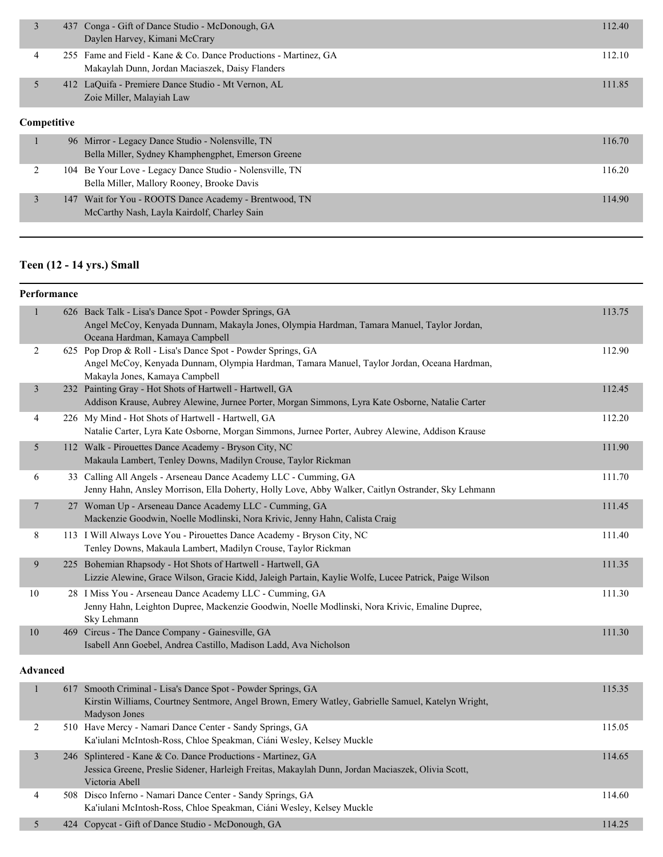|             |                             | 437 Conga - Gift of Dance Studio - McDonough, GA                 | 112.40 |
|-------------|-----------------------------|------------------------------------------------------------------|--------|
|             |                             | Daylen Harvey, Kimani McCrary                                    |        |
| 4           |                             | 255 Fame and Field - Kane & Co. Dance Productions - Martinez, GA | 112.10 |
|             |                             | Makaylah Dunn, Jordan Maciaszek, Daisy Flanders                  |        |
|             |                             | 412 LaQuifa - Premiere Dance Studio - Mt Vernon, AL              | 111.85 |
|             |                             | Zoie Miller, Malayiah Law                                        |        |
| Competitive |                             |                                                                  |        |
| $\sim$      | $\sim$ $\sim$ $\sim$ $\sim$ | $-11$<br>$C_1$ 1, 1, 1<br>$T^*$<br>$\mathbf{r}$<br>$\sqrt{1}$    | 11770  |

| 96 Mirror - Legacy Dance Studio - Nolensville, TN<br>Bella Miller, Sydney Khamphengphet, Emerson Greene | 116.70 |
|---------------------------------------------------------------------------------------------------------|--------|
| 104 Be Your Love - Legacy Dance Studio - Nolensville, TN<br>Bella Miller, Mallory Rooney, Brooke Davis  | 116.20 |
| 147 Wait for You - ROOTS Dance Academy - Brentwood, TN<br>McCarthy Nash, Layla Kairdolf, Charley Sain   | 114.90 |

# **Teen (12 - 14 yrs.) Small**

| Performance     |                                                                                                                                                                                               |        |
|-----------------|-----------------------------------------------------------------------------------------------------------------------------------------------------------------------------------------------|--------|
| 1               | 626 Back Talk - Lisa's Dance Spot - Powder Springs, GA<br>Angel McCoy, Kenyada Dunnam, Makayla Jones, Olympia Hardman, Tamara Manuel, Taylor Jordan,<br>Oceana Hardman, Kamaya Campbell       | 113.75 |
| $\overline{2}$  | 625 Pop Drop & Roll - Lisa's Dance Spot - Powder Springs, GA<br>Angel McCoy, Kenyada Dunnam, Olympia Hardman, Tamara Manuel, Taylor Jordan, Oceana Hardman,<br>Makayla Jones, Kamaya Campbell | 112.90 |
| 3               | 232 Painting Gray - Hot Shots of Hartwell - Hartwell, GA<br>Addison Krause, Aubrey Alewine, Jurnee Porter, Morgan Simmons, Lyra Kate Osborne, Natalie Carter                                  | 112.45 |
| 4               | 226 My Mind - Hot Shots of Hartwell - Hartwell, GA<br>Natalie Carter, Lyra Kate Osborne, Morgan Simmons, Jurnee Porter, Aubrey Alewine, Addison Krause                                        | 112.20 |
| 5               | 112 Walk - Pirouettes Dance Academy - Bryson City, NC<br>Makaula Lambert, Tenley Downs, Madilyn Crouse, Taylor Rickman                                                                        | 111.90 |
| 6               | 33 Calling All Angels - Arseneau Dance Academy LLC - Cumming, GA<br>Jenny Hahn, Ansley Morrison, Ella Doherty, Holly Love, Abby Walker, Caitlyn Ostrander, Sky Lehmann                        | 111.70 |
| 7               | 27 Woman Up - Arseneau Dance Academy LLC - Cumming, GA<br>Mackenzie Goodwin, Noelle Modlinski, Nora Krivic, Jenny Hahn, Calista Craig                                                         | 111.45 |
| 8               | 113 I Will Always Love You - Pirouettes Dance Academy - Bryson City, NC<br>Tenley Downs, Makaula Lambert, Madilyn Crouse, Taylor Rickman                                                      | 111.40 |
| 9               | 225 Bohemian Rhapsody - Hot Shots of Hartwell - Hartwell, GA<br>Lizzie Alewine, Grace Wilson, Gracie Kidd, Jaleigh Partain, Kaylie Wolfe, Lucee Patrick, Paige Wilson                         | 111.35 |
| 10              | 28 I Miss You - Arseneau Dance Academy LLC - Cumming, GA<br>Jenny Hahn, Leighton Dupree, Mackenzie Goodwin, Noelle Modlinski, Nora Krivic, Emaline Dupree,<br>Sky Lehmann                     | 111.30 |
| 10              | 469 Circus - The Dance Company - Gainesville, GA<br>Isabell Ann Goebel, Andrea Castillo, Madison Ladd, Ava Nicholson                                                                          | 111.30 |
| <b>Advanced</b> |                                                                                                                                                                                               |        |
| 1               | 617 Smooth Criminal - Lisa's Dance Spot - Powder Springs, GA<br>Kirstin Williams, Courtney Sentmore, Angel Brown, Emery Watley, Gabrielle Samuel, Katelyn Wright,<br>Madyson Jones            | 115.35 |
| 2               | 510 Have Mercy - Namari Dance Center - Sandy Springs, GA<br>Ka'iulani McIntosh-Ross, Chloe Speakman, Ciáni Wesley, Kelsey Muckle                                                              | 115.05 |
| 3               | 246 Splintered - Kane & Co. Dance Productions - Martinez, GA<br>Jessica Greene, Preslie Sidener, Harleigh Freitas, Makaylah Dunn, Jordan Maciaszek, Olivia Scott,<br>Victoria Abell           | 114.65 |
| $\overline{4}$  | 508 Disco Inferno - Namari Dance Center - Sandy Springs, GA                                                                                                                                   | 114.60 |

5 424 Copycat - Gift of Dance Studio - McDonough, GA 114.25

Ka'iulani McIntosh-Ross, Chloe Speakman, Ciáni Wesley, Kelsey Muckle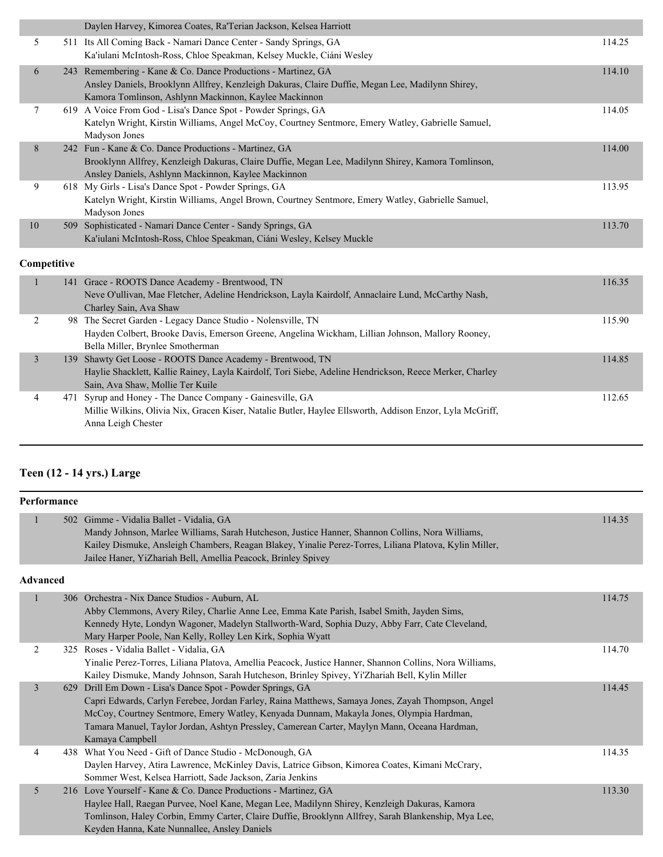|             |    | Daylen Harvey, Kimorea Coates, Ra'Terian Jackson, Kelsea Harriott                                                                                                                                                          |        |
|-------------|----|----------------------------------------------------------------------------------------------------------------------------------------------------------------------------------------------------------------------------|--------|
| 5           |    | 511 Its All Coming Back - Namari Dance Center - Sandy Springs, GA<br>Ka'iulani McIntosh-Ross, Chloe Speakman, Kelsey Muckle, Ciáni Wesley                                                                                  | 114.25 |
| 6           |    | 243 Remembering - Kane & Co. Dance Productions - Martinez, GA<br>Ansley Daniels, Brooklynn Allfrey, Kenzleigh Dakuras, Claire Duffie, Megan Lee, Madilynn Shirey,<br>Kamora Tomlinson, Ashlynn Mackinnon, Kaylee Mackinnon | 114.10 |
| 7           |    | 619 A Voice From God - Lisa's Dance Spot - Powder Springs, GA<br>Katelyn Wright, Kirstin Williams, Angel McCoy, Courtney Sentmore, Emery Watley, Gabrielle Samuel,<br>Madyson Jones                                        | 114.05 |
| 8           |    | 242 Fun - Kane & Co. Dance Productions - Martinez, GA<br>Brooklynn Allfrey, Kenzleigh Dakuras, Claire Duffie, Megan Lee, Madilynn Shirey, Kamora Tomlinson,<br>Ansley Daniels, Ashlynn Mackinnon, Kaylee Mackinnon         | 114.00 |
| 9           |    | 618 My Girls - Lisa's Dance Spot - Powder Springs, GA<br>Katelyn Wright, Kirstin Williams, Angel Brown, Courtney Sentmore, Emery Watley, Gabrielle Samuel,<br>Madyson Jones                                                | 113.95 |
| 10          |    | 509 Sophisticated - Namari Dance Center - Sandy Springs, GA<br>Ka'iulani McIntosh-Ross, Chloe Speakman, Ciáni Wesley, Kelsey Muckle                                                                                        | 113.70 |
| Competitive |    |                                                                                                                                                                                                                            |        |
|             |    | 141 Grace - ROOTS Dance Academy - Brentwood, TN<br>Neve O'ullivan, Mae Fletcher, Adeline Hendrickson, Layla Kairdolf, Annaclaire Lund, McCarthy Nash,<br>Charley Sain, Ava Shaw                                            | 116.35 |
| 2           | 98 | The Secret Garden - Legacy Dance Studio - Nolensville, TN<br>Hayden Colbert, Brooke Davis, Emerson Greene, Angelina Wickham, Lillian Johnson, Mallory Rooney,<br>Bella Miller, Brynlee Smotherman                          | 115.90 |

|  | Bella Miller, Brynlee Smotherman                                                                         |        |
|--|----------------------------------------------------------------------------------------------------------|--------|
|  | 139 Shawty Get Loose - ROOTS Dance Academy - Brentwood, TN                                               | 114.85 |
|  | Haylie Shacklett, Kallie Rainey, Layla Kairdolf, Tori Siebe, Adeline Hendrickson, Reece Merker, Charley  |        |
|  | Sain, Ava Shaw, Mollie Ter Kuile                                                                         |        |
|  | 471 Syrup and Honey - The Dance Company - Gainesville, GA                                                | 112.65 |
|  | Millie Wilkins, Olivia Nix, Gracen Kiser, Natalie Butler, Haylee Ellsworth, Addison Enzor, Lyla McGriff, |        |
|  | Anna Leigh Chester                                                                                       |        |

# **Teen (12 - 14 yrs.) Large**

| Performance |
|-------------|
|             |

| т егтот шансе |                                                                                                        |        |
|---------------|--------------------------------------------------------------------------------------------------------|--------|
|               | 502 Gimme - Vidalia Ballet - Vidalia, GA                                                               | 114.35 |
|               | Mandy Johnson, Marlee Williams, Sarah Hutcheson, Justice Hanner, Shannon Collins, Nora Williams,       |        |
|               | Kailey Dismuke, Ansleigh Chambers, Reagan Blakey, Yinalie Perez-Torres, Liliana Platova, Kylin Miller, |        |
|               | Jailee Haner, YiZhariah Bell, Amellia Peacock, Brinley Spivey                                          |        |
| Advanced      |                                                                                                        |        |

#### **Advanced**

|   | 306 Orchestra - Nix Dance Studios - Auburn, AL                                                          | 114.75 |
|---|---------------------------------------------------------------------------------------------------------|--------|
|   | Abby Clemmons, Avery Riley, Charlie Anne Lee, Emma Kate Parish, Isabel Smith, Jayden Sims,              |        |
|   | Kennedy Hyte, Londyn Wagoner, Madelyn Stallworth-Ward, Sophia Duzy, Abby Farr, Cate Cleveland,          |        |
|   | Mary Harper Poole, Nan Kelly, Rolley Len Kirk, Sophia Wyatt                                             |        |
| 2 | 325 Roses - Vidalia Ballet - Vidalia, GA                                                                | 114.70 |
|   | Yinalie Perez-Torres, Liliana Platova, Amellia Peacock, Justice Hanner, Shannon Collins, Nora Williams, |        |
|   | Kailey Dismuke, Mandy Johnson, Sarah Hutcheson, Brinley Spivey, Yi'Zhariah Bell, Kylin Miller           |        |
| 3 | 629 Drill Em Down - Lisa's Dance Spot - Powder Springs, GA                                              | 114.45 |
|   | Capri Edwards, Carlyn Ferebee, Jordan Farley, Raina Matthews, Samaya Jones, Zayah Thompson, Angel       |        |
|   | McCoy, Courtney Sentmore, Emery Watley, Kenyada Dunnam, Makayla Jones, Olympia Hardman,                 |        |
|   | Tamara Manuel, Taylor Jordan, Ashtyn Pressley, Camerean Carter, Maylyn Mann, Oceana Hardman,            |        |
|   | Kamaya Campbell                                                                                         |        |
| 4 | 438 What You Need - Gift of Dance Studio - McDonough, GA                                                | 114.35 |
|   | Daylen Harvey, Atira Lawrence, McKinley Davis, Latrice Gibson, Kimorea Coates, Kimani McCrary,          |        |
|   | Sommer West, Kelsea Harriott, Sade Jackson, Zaria Jenkins                                               |        |
| 5 | 216 Love Yourself - Kane & Co. Dance Productions - Martinez, GA                                         | 113.30 |
|   | Haylee Hall, Raegan Purvee, Noel Kane, Megan Lee, Madilynn Shirey, Kenzleigh Dakuras, Kamora            |        |
|   | Tomlinson, Haley Corbin, Emmy Carter, Claire Duffie, Brooklynn Allfrey, Sarah Blankenship, Mya Lee,     |        |
|   | Keyden Hanna, Kate Nunnallee, Ansley Daniels                                                            |        |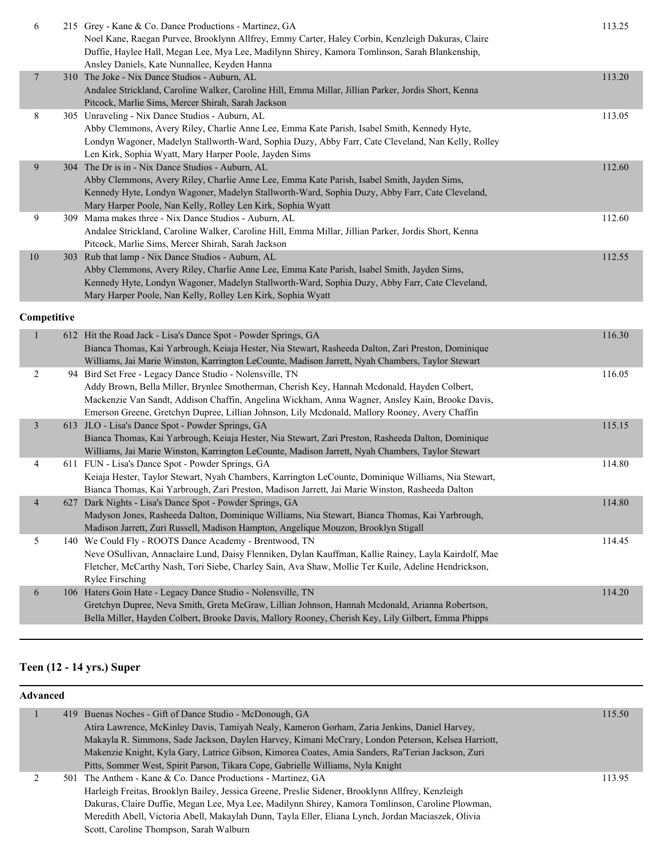| 6              | 215 Grey - Kane & Co. Dance Productions - Martinez, GA                                                                                                                                                 | 113.25 |
|----------------|--------------------------------------------------------------------------------------------------------------------------------------------------------------------------------------------------------|--------|
|                | Noel Kane, Raegan Purvee, Brooklynn Allfrey, Emmy Carter, Haley Corbin, Kenzleigh Dakuras, Claire                                                                                                      |        |
|                | Duffie, Haylee Hall, Megan Lee, Mya Lee, Madilynn Shirey, Kamora Tomlinson, Sarah Blankenship,<br>Ansley Daniels, Kate Nunnallee, Keyden Hanna                                                         |        |
| $\overline{7}$ | 310 The Joke - Nix Dance Studios - Auburn, AL                                                                                                                                                          | 113.20 |
|                | Andalee Strickland, Caroline Walker, Caroline Hill, Emma Millar, Jillian Parker, Jordis Short, Kenna                                                                                                   |        |
|                | Pitcock, Marlie Sims, Mercer Shirah, Sarah Jackson                                                                                                                                                     |        |
| 8              | 305 Unraveling - Nix Dance Studios - Auburn, AL                                                                                                                                                        | 113.05 |
|                | Abby Clemmons, Avery Riley, Charlie Anne Lee, Emma Kate Parish, Isabel Smith, Kennedy Hyte,                                                                                                            |        |
|                | Londyn Wagoner, Madelyn Stallworth-Ward, Sophia Duzy, Abby Farr, Cate Cleveland, Nan Kelly, Rolley                                                                                                     |        |
|                | Len Kirk, Sophia Wyatt, Mary Harper Poole, Jayden Sims                                                                                                                                                 |        |
| 9              | 304 The Dr is in - Nix Dance Studios - Auburn, AL                                                                                                                                                      | 112.60 |
|                | Abby Clemmons, Avery Riley, Charlie Anne Lee, Emma Kate Parish, Isabel Smith, Jayden Sims,                                                                                                             |        |
|                | Kennedy Hyte, Londyn Wagoner, Madelyn Stallworth-Ward, Sophia Duzy, Abby Farr, Cate Cleveland,                                                                                                         |        |
|                | Mary Harper Poole, Nan Kelly, Rolley Len Kirk, Sophia Wyatt                                                                                                                                            |        |
| 9              | 309 Mama makes three - Nix Dance Studios - Auburn, AL                                                                                                                                                  | 112.60 |
|                | Andalee Strickland, Caroline Walker, Caroline Hill, Emma Millar, Jillian Parker, Jordis Short, Kenna                                                                                                   |        |
|                | Pitcock, Marlie Sims, Mercer Shirah, Sarah Jackson                                                                                                                                                     |        |
| 10             | 303 Rub that lamp - Nix Dance Studios - Auburn, AL                                                                                                                                                     | 112.55 |
|                | Abby Clemmons, Avery Riley, Charlie Anne Lee, Emma Kate Parish, Isabel Smith, Jayden Sims,                                                                                                             |        |
|                | Kennedy Hyte, Londyn Wagoner, Madelyn Stallworth-Ward, Sophia Duzy, Abby Farr, Cate Cleveland,<br>Mary Harper Poole, Nan Kelly, Rolley Len Kirk, Sophia Wyatt                                          |        |
|                |                                                                                                                                                                                                        |        |
| Competitive    |                                                                                                                                                                                                        |        |
| $\mathbf{1}$   | 612 Hit the Road Jack - Lisa's Dance Spot - Powder Springs, GA                                                                                                                                         | 116.30 |
|                | Bianca Thomas, Kai Yarbrough, Keiaja Hester, Nia Stewart, Rasheeda Dalton, Zari Preston, Dominique                                                                                                     |        |
|                | Williams, Jai Marie Winston, Karrington LeCounte, Madison Jarrett, Nyah Chambers, Taylor Stewart                                                                                                       |        |
| $\overline{c}$ | 94 Bird Set Free - Legacy Dance Studio - Nolensville, TN                                                                                                                                               | 116.05 |
|                | Addy Brown, Bella Miller, Brynlee Smotherman, Cherish Key, Hannah Mcdonald, Hayden Colbert,                                                                                                            |        |
|                | Mackenzie Van Sandt, Addison Chaffin, Angelina Wickham, Anna Wagner, Ansley Kain, Brooke Davis,                                                                                                        |        |
|                | Emerson Greene, Gretchyn Dupree, Lillian Johnson, Lily Mcdonald, Mallory Rooney, Avery Chaffin                                                                                                         |        |
| 3              | 613 JLO - Lisa's Dance Spot - Powder Springs, GA                                                                                                                                                       | 115.15 |
|                | Bianca Thomas, Kai Yarbrough, Keiaja Hester, Nia Stewart, Zari Preston, Rasheeda Dalton, Dominique<br>Williams, Jai Marie Winston, Karrington LeCounte, Madison Jarrett, Nyah Chambers, Taylor Stewart |        |
| 4              | 611 FUN - Lisa's Dance Spot - Powder Springs, GA                                                                                                                                                       | 114.80 |
|                | Keiaja Hester, Taylor Stewart, Nyah Chambers, Karrington LeCounte, Dominique Williams, Nia Stewart,                                                                                                    |        |
|                | Bianca Thomas, Kai Yarbrough, Zari Preston, Madison Jarrett, Jai Marie Winston, Rasheeda Dalton                                                                                                        |        |
|                | 627 Dark Nights - Lisa's Dance Spot - Powder Springs, GA                                                                                                                                               | 114.80 |
|                | Madyson Jones, Rasheeda Dalton, Dominique Williams, Nia Stewart, Bianca Thomas, Kai Yarbrough,                                                                                                         |        |
|                | Madison Jarrett, Zuri Russell, Madison Hampton, Angelique Mouzon, Brooklyn Stigall                                                                                                                     |        |
| 5              | 140 We Could Fly - ROOTS Dance Academy - Brentwood, TN                                                                                                                                                 | 114.45 |
|                | Neve OSullivan, Annaclaire Lund, Daisy Flenniken, Dylan Kauffman, Kallie Rainey, Layla Kairdolf, Mae                                                                                                   |        |
|                |                                                                                                                                                                                                        |        |
|                | Fletcher, McCarthy Nash, Tori Siebe, Charley Sain, Ava Shaw, Mollie Ter Kuile, Adeline Hendrickson,                                                                                                    |        |
|                | <b>Rylee Firsching</b>                                                                                                                                                                                 |        |
| 6              | 106 Haters Goin Hate - Legacy Dance Studio - Nolensville, TN                                                                                                                                           | 114.20 |
|                | Gretchyn Dupree, Neva Smith, Greta McGraw, Lillian Johnson, Hannah Mcdonald, Arianna Robertson,                                                                                                        |        |
|                | Bella Miller, Hayden Colbert, Brooke Davis, Mallory Rooney, Cherish Key, Lily Gilbert, Emma Phipps                                                                                                     |        |

# **Teen (12 - 14 yrs.) Super**

| Advanced |  |                                                                                                    |        |  |
|----------|--|----------------------------------------------------------------------------------------------------|--------|--|
|          |  | 419 Buenas Noches - Gift of Dance Studio - McDonough, GA                                           | 115.50 |  |
|          |  | Atira Lawrence, McKinley Davis, Tamiyah Nealy, Kameron Gorham, Zaria Jenkins, Daniel Harvey,       |        |  |
|          |  | Makayla R. Simmons, Sade Jackson, Daylen Harvey, Kimani McCrary, London Peterson, Kelsea Harriott, |        |  |
|          |  | Makenzie Knight, Kyla Gary, Latrice Gibson, Kimorea Coates, Amia Sanders, Ra'Terian Jackson, Zuri  |        |  |
|          |  | Pitts, Sommer West, Spirit Parson, Tikara Cope, Gabrielle Williams, Nyla Knight                    |        |  |
|          |  | 501 The Anthem - Kane & Co. Dance Productions - Martinez, GA                                       | 113.95 |  |
|          |  | Harleigh Freitas, Brooklyn Bailey, Jessica Greene, Preslie Sidener, Brooklynn Allfrey, Kenzleigh   |        |  |
|          |  | Dakuras, Claire Duffie, Megan Lee, Mya Lee, Madilynn Shirey, Kamora Tomlinson, Caroline Plowman,   |        |  |
|          |  | Meredith Abell, Victoria Abell, Makaylah Dunn, Tayla Eller, Eliana Lynch, Jordan Maciaszek, Olivia |        |  |
|          |  | Scott, Caroline Thompson, Sarah Walburn                                                            |        |  |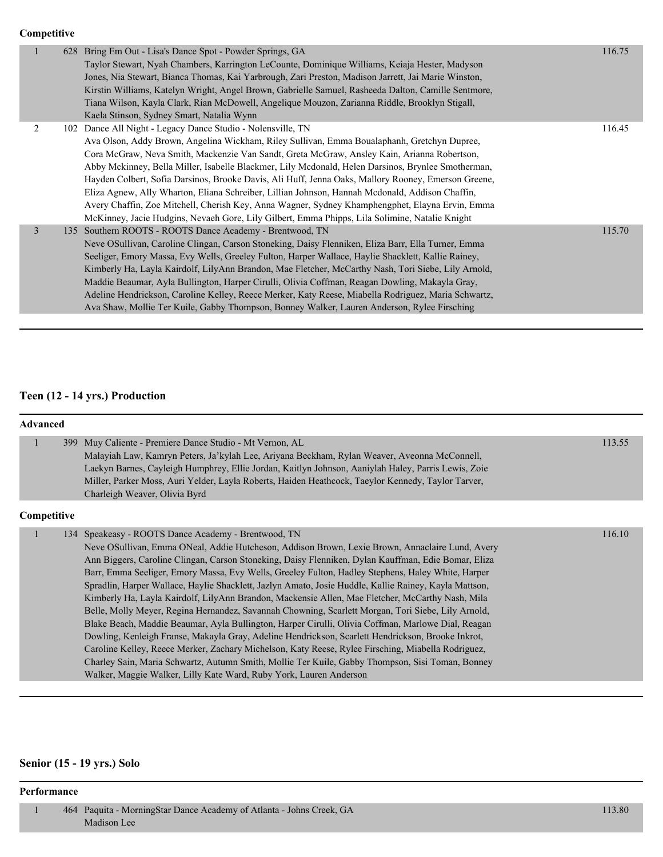#### **Competitive**

|                | 628 | Bring Em Out - Lisa's Dance Spot - Powder Springs, GA<br>Taylor Stewart, Nyah Chambers, Karrington LeCounte, Dominique Williams, Keiaja Hester, Madyson<br>Jones, Nia Stewart, Bianca Thomas, Kai Yarbrough, Zari Preston, Madison Jarrett, Jai Marie Winston,<br>Kirstin Williams, Katelyn Wright, Angel Brown, Gabrielle Samuel, Rasheeda Dalton, Camille Sentmore,<br>Tiana Wilson, Kayla Clark, Rian McDowell, Angelique Mouzon, Zarianna Riddle, Brooklyn Stigall,<br>Kaela Stinson, Sydney Smart, Natalia Wynn                                                                                                                                                                                                                                                           | 116.75 |
|----------------|-----|--------------------------------------------------------------------------------------------------------------------------------------------------------------------------------------------------------------------------------------------------------------------------------------------------------------------------------------------------------------------------------------------------------------------------------------------------------------------------------------------------------------------------------------------------------------------------------------------------------------------------------------------------------------------------------------------------------------------------------------------------------------------------------|--------|
| 2              |     | 102 Dance All Night - Legacy Dance Studio - Nolensville, TN<br>Ava Olson, Addy Brown, Angelina Wickham, Riley Sullivan, Emma Boualaphanh, Gretchyn Dupree,<br>Cora McGraw, Neva Smith, Mackenzie Van Sandt, Greta McGraw, Ansley Kain, Arianna Robertson,<br>Abby Mckinney, Bella Miller, Isabelle Blackmer, Lily Mcdonald, Helen Darsinos, Brynlee Smotherman,<br>Hayden Colbert, Sofia Darsinos, Brooke Davis, Ali Huff, Jenna Oaks, Mallory Rooney, Emerson Greene,<br>Eliza Agnew, Ally Wharton, Eliana Schreiber, Lillian Johnson, Hannah Mcdonald, Addison Chaffin,<br>Avery Chaffin, Zoe Mitchell, Cherish Key, Anna Wagner, Sydney Khamphengphet, Elayna Ervin, Emma<br>McKinney, Jacie Hudgins, Nevaeh Gore, Lily Gilbert, Emma Phipps, Lila Solimine, Natalie Knight | 116.45 |
| $\overline{3}$ |     | 135 Southern ROOTS - ROOTS Dance Academy - Brentwood, TN<br>Neve OSullivan, Caroline Clingan, Carson Stoneking, Daisy Flenniken, Eliza Barr, Ella Turner, Emma<br>Seeliger, Emory Massa, Evy Wells, Greeley Fulton, Harper Wallace, Haylie Shacklett, Kallie Rainey,<br>Kimberly Ha, Layla Kairdolf, LilyAnn Brandon, Mae Fletcher, McCarthy Nash, Tori Siebe, Lily Arnold,<br>Maddie Beaumar, Ayla Bullington, Harper Cirulli, Olivia Coffman, Reagan Dowling, Makayla Gray,<br>Adeline Hendrickson, Caroline Kelley, Reece Merker, Katy Reese, Miabella Rodriguez, Maria Schwartz,<br>Ava Shaw, Mollie Ter Kuile, Gabby Thompson, Bonney Walker, Lauren Anderson, Rylee Firsching                                                                                            | 115.70 |

# **Teen (12 - 14 yrs.) Production**

| <b>Advanced</b> |     |                                                                                                                                                                                                                                                                                                                                                                                                                                                                                                                                                                                                                                                                                                                                                                                                                                                                                                                                                                                                                                                                                                                                                                                  |        |
|-----------------|-----|----------------------------------------------------------------------------------------------------------------------------------------------------------------------------------------------------------------------------------------------------------------------------------------------------------------------------------------------------------------------------------------------------------------------------------------------------------------------------------------------------------------------------------------------------------------------------------------------------------------------------------------------------------------------------------------------------------------------------------------------------------------------------------------------------------------------------------------------------------------------------------------------------------------------------------------------------------------------------------------------------------------------------------------------------------------------------------------------------------------------------------------------------------------------------------|--------|
|                 | 399 | Muy Caliente - Premiere Dance Studio - Mt Vernon, AL<br>Malayiah Law, Kamryn Peters, Ja'kylah Lee, Ariyana Beckham, Rylan Weaver, Aveonna McConnell,<br>Laekyn Barnes, Cayleigh Humphrey, Ellie Jordan, Kaitlyn Johnson, Aaniylah Haley, Parris Lewis, Zoie<br>Miller, Parker Moss, Auri Yelder, Layla Roberts, Haiden Heathcock, Taeylor Kennedy, Taylor Tarver,<br>Charleigh Weaver, Olivia Byrd                                                                                                                                                                                                                                                                                                                                                                                                                                                                                                                                                                                                                                                                                                                                                                               | 113.55 |
| Competitive     |     |                                                                                                                                                                                                                                                                                                                                                                                                                                                                                                                                                                                                                                                                                                                                                                                                                                                                                                                                                                                                                                                                                                                                                                                  |        |
|                 |     | 134 Speakeasy - ROOTS Dance Academy - Brentwood, TN<br>Neve OSullivan, Emma ONeal, Addie Hutcheson, Addison Brown, Lexie Brown, Annaclaire Lund, Avery<br>Ann Biggers, Caroline Clingan, Carson Stoneking, Daisy Flenniken, Dylan Kauffman, Edie Bomar, Eliza<br>Barr, Emma Seeliger, Emory Massa, Evy Wells, Greeley Fulton, Hadley Stephens, Haley White, Harper<br>Spradlin, Harper Wallace, Haylie Shacklett, Jazlyn Amato, Josie Huddle, Kallie Rainey, Kayla Mattson,<br>Kimberly Ha, Layla Kairdolf, LilyAnn Brandon, Mackensie Allen, Mae Fletcher, McCarthy Nash, Mila<br>Belle, Molly Meyer, Regina Hernandez, Savannah Chowning, Scarlett Morgan, Tori Siebe, Lily Arnold,<br>Blake Beach, Maddie Beaumar, Ayla Bullington, Harper Cirulli, Olivia Coffman, Marlowe Dial, Reagan<br>Dowling, Kenleigh Franse, Makayla Gray, Adeline Hendrickson, Scarlett Hendrickson, Brooke Inkrot,<br>Caroline Kelley, Reece Merker, Zachary Michelson, Katy Reese, Rylee Firsching, Miabella Rodriguez,<br>Charley Sain, Maria Schwartz, Autumn Smith, Mollie Ter Kuile, Gabby Thompson, Sisi Toman, Bonney<br>Walker, Maggie Walker, Lilly Kate Ward, Ruby York, Lauren Anderson | 116.10 |

# **Senior (15 - 19 yrs.) Solo**

#### **Performance**

 1 464 Paquita - MorningStar Dance Academy of Atlanta - Johns Creek, GA 113.80 Madison Lee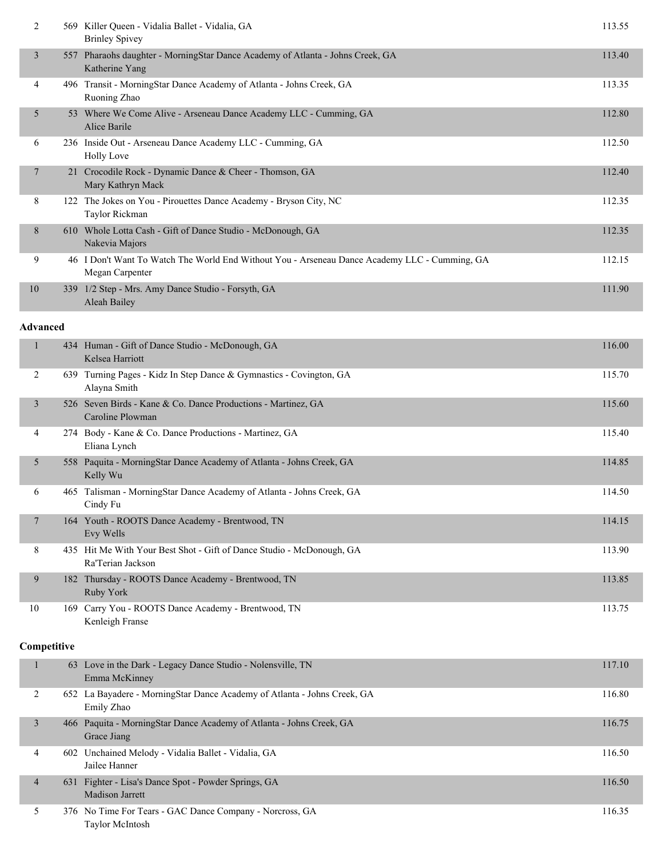| $\overline{2}$  | 569 Killer Queen - Vidalia Ballet - Vidalia, GA<br><b>Brinley Spivey</b>                                         | 113.55 |
|-----------------|------------------------------------------------------------------------------------------------------------------|--------|
| 3               | 557 Pharaohs daughter - MorningStar Dance Academy of Atlanta - Johns Creek, GA<br>Katherine Yang                 | 113.40 |
| 4               | 496 Transit - MorningStar Dance Academy of Atlanta - Johns Creek, GA<br>Ruoning Zhao                             | 113.35 |
| 5               | 53 Where We Come Alive - Arseneau Dance Academy LLC - Cumming, GA<br>Alice Barile                                | 112.80 |
| 6               | 236 Inside Out - Arseneau Dance Academy LLC - Cumming, GA<br><b>Holly Love</b>                                   | 112.50 |
| $\overline{7}$  | 21 Crocodile Rock - Dynamic Dance & Cheer - Thomson, GA<br>Mary Kathryn Mack                                     | 112.40 |
| 8               | 122 The Jokes on You - Pirouettes Dance Academy - Bryson City, NC<br>Taylor Rickman                              | 112.35 |
| $\,8$           | 610 Whole Lotta Cash - Gift of Dance Studio - McDonough, GA<br>Nakevia Majors                                    | 112.35 |
| 9               | 46 I Don't Want To Watch The World End Without You - Arseneau Dance Academy LLC - Cumming, GA<br>Megan Carpenter | 112.15 |
| 10              | 339 1/2 Step - Mrs. Amy Dance Studio - Forsyth, GA<br>Aleah Bailey                                               | 111.90 |
| <b>Advanced</b> |                                                                                                                  |        |
| 1               | 434 Human - Gift of Dance Studio - McDonough, GA<br>Kelsea Harriott                                              | 116.00 |
| 2               | 639 Turning Pages - Kidz In Step Dance & Gymnastics - Covington, GA<br>Alayna Smith                              | 115.70 |
| 3               | 526 Seven Birds - Kane & Co. Dance Productions - Martinez, GA<br>Caroline Plowman                                | 115.60 |
| 4               | 274 Body - Kane & Co. Dance Productions - Martinez, GA<br>Eliana Lynch                                           | 115.40 |
| 5               | 558 Paquita - MorningStar Dance Academy of Atlanta - Johns Creek, GA<br>Kelly Wu                                 | 114.85 |
| 6               | 465 Talisman - MorningStar Dance Academy of Atlanta - Johns Creek, GA<br>Cindy Fu                                | 114.50 |
| 7               | 164 Youth - ROOTS Dance Academy - Brentwood, TN<br>Evy Wells                                                     | 114.15 |
| 8               | 435 Hit Me With Your Best Shot - Gift of Dance Studio - McDonough, GA<br>Ra'Terian Jackson                       | 113.90 |
| 9               | 182 Thursday - ROOTS Dance Academy - Brentwood, TN<br>Ruby York                                                  | 113.85 |
| 10              | 169 Carry You - ROOTS Dance Academy - Brentwood, TN<br>Kenleigh Franse                                           | 113.75 |
| Competitive     |                                                                                                                  |        |
| $\mathbf{1}$    | 63 Love in the Dark - Legacy Dance Studio - Nolensville, TN<br>Emma McKinney                                     | 117.10 |
| 2               | 652 La Bayadere - MorningStar Dance Academy of Atlanta - Johns Creek, GA<br>Emily Zhao                           | 116.80 |
| $\mathfrak{Z}$  | 466 Paquita - MorningStar Dance Academy of Atlanta - Johns Creek, GA<br>Grace Jiang                              | 116.75 |
| 4               | 602 Unchained Melody - Vidalia Ballet - Vidalia, GA<br>Jailee Hanner                                             | 116.50 |
| 4               | 631 Fighter - Lisa's Dance Spot - Powder Springs, GA<br>Madison Jarrett                                          | 116.50 |
| 5               | 376 No Time For Tears - GAC Dance Company - Norcross, GA<br>Taylor McIntosh                                      | 116.35 |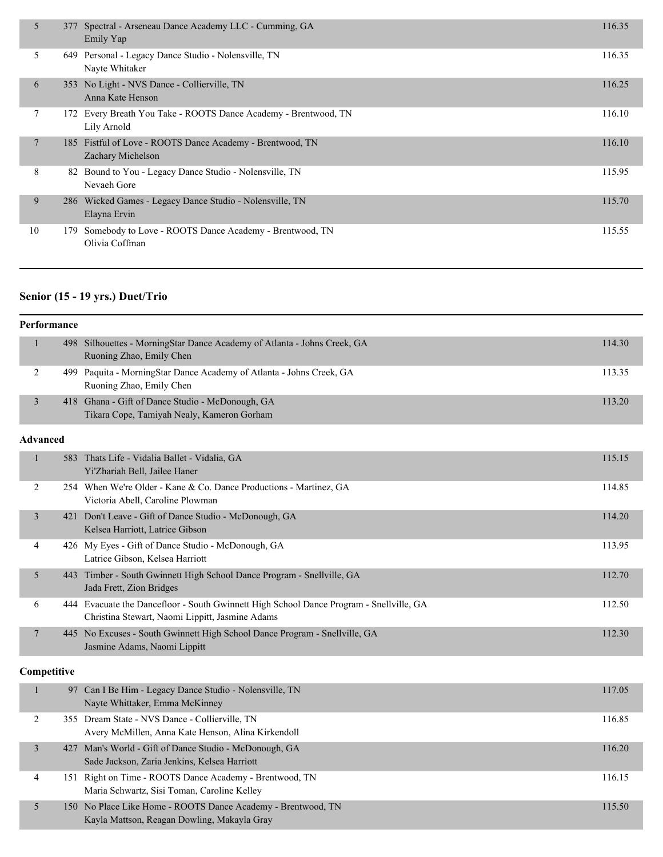| 5  |     | 377 Spectral - Arseneau Dance Academy LLC - Cumming, GA<br>Emily Yap           | 116.35 |
|----|-----|--------------------------------------------------------------------------------|--------|
| 5. |     | 649 Personal - Legacy Dance Studio - Nolensville, TN<br>Nayte Whitaker         | 116.35 |
| 6  |     | 353 No Light - NVS Dance - Collierville, TN<br>Anna Kate Henson                | 116.25 |
| 7  |     | 172 Every Breath You Take - ROOTS Dance Academy - Brentwood, TN<br>Lily Arnold | 116.10 |
| 7  |     | 185 Fistful of Love - ROOTS Dance Academy - Brentwood, TN<br>Zachary Michelson | 116.10 |
| 8  |     | 82 Bound to You - Legacy Dance Studio - Nolensville, TN<br>Nevaeh Gore         | 115.95 |
| 9  |     | 286 Wicked Games - Legacy Dance Studio - Nolensville, TN<br>Elayna Ervin       | 115.70 |
| 10 | 179 | Somebody to Love - ROOTS Dance Academy - Brentwood, TN<br>Olivia Coffman       | 115.55 |

# **Senior (15 - 19 yrs.) Duet/Trio**

|                 | Performance |                                                                                                                                            |        |
|-----------------|-------------|--------------------------------------------------------------------------------------------------------------------------------------------|--------|
| 1               |             | 498 Silhouettes - MorningStar Dance Academy of Atlanta - Johns Creek, GA<br>Ruoning Zhao, Emily Chen                                       | 114.30 |
| 2               |             | 499 Paquita - MorningStar Dance Academy of Atlanta - Johns Creek, GA<br>Ruoning Zhao, Emily Chen                                           | 113.35 |
| $\mathfrak{Z}$  |             | 418 Ghana - Gift of Dance Studio - McDonough, GA<br>Tikara Cope, Tamiyah Nealy, Kameron Gorham                                             | 113.20 |
| <b>Advanced</b> |             |                                                                                                                                            |        |
| $\mathbf{1}$    |             | 583 Thats Life - Vidalia Ballet - Vidalia, GA<br>Yi'Zhariah Bell, Jailee Haner                                                             | 115.15 |
| $\overline{c}$  |             | 254 When We're Older - Kane & Co. Dance Productions - Martinez, GA<br>Victoria Abell, Caroline Plowman                                     | 114.85 |
| $\overline{3}$  |             | 421 Don't Leave - Gift of Dance Studio - McDonough, GA<br>Kelsea Harriott, Latrice Gibson                                                  | 114.20 |
| 4               |             | 426 My Eyes - Gift of Dance Studio - McDonough, GA<br>Latrice Gibson, Kelsea Harriott                                                      | 113.95 |
| 5               |             | 443 Timber - South Gwinnett High School Dance Program - Snellville, GA<br>Jada Frett, Zion Bridges                                         | 112.70 |
| 6               |             | 444 Evacuate the Dancefloor - South Gwinnett High School Dance Program - Snellville, GA<br>Christina Stewart, Naomi Lippitt, Jasmine Adams | 112.50 |
| $\tau$          |             | 445 No Excuses - South Gwinnett High School Dance Program - Snellville, GA<br>Jasmine Adams, Naomi Lippitt                                 | 112.30 |
|                 | Competitive |                                                                                                                                            |        |
| $\mathbf{1}$    |             | 97 Can I Be Him - Legacy Dance Studio - Nolensville, TN<br>Nayte Whittaker, Emma McKinney                                                  | 117.05 |
| 2               |             | 355 Dream State - NVS Dance - Collierville, TN<br>Avery McMillen, Anna Kate Henson, Alina Kirkendoll                                       | 116.85 |
|                 |             | $127.35 + 1.02.11 - 212.25 - 21.11 - 35.5$                                                                                                 |        |

|  | 427 Man's World - Gift of Dance Studio - McDonough, GA<br>Sade Jackson, Zaria Jenkins, Kelsea Harriott      | 116.20 |
|--|-------------------------------------------------------------------------------------------------------------|--------|
|  | 151 Right on Time - ROOTS Dance Academy - Brentwood, TN<br>Maria Schwartz, Sisi Toman, Caroline Kelley      | 116.15 |
|  | 150 No Place Like Home - ROOTS Dance Academy - Brentwood, TN<br>Kayla Mattson, Reagan Dowling, Makayla Gray | 115.50 |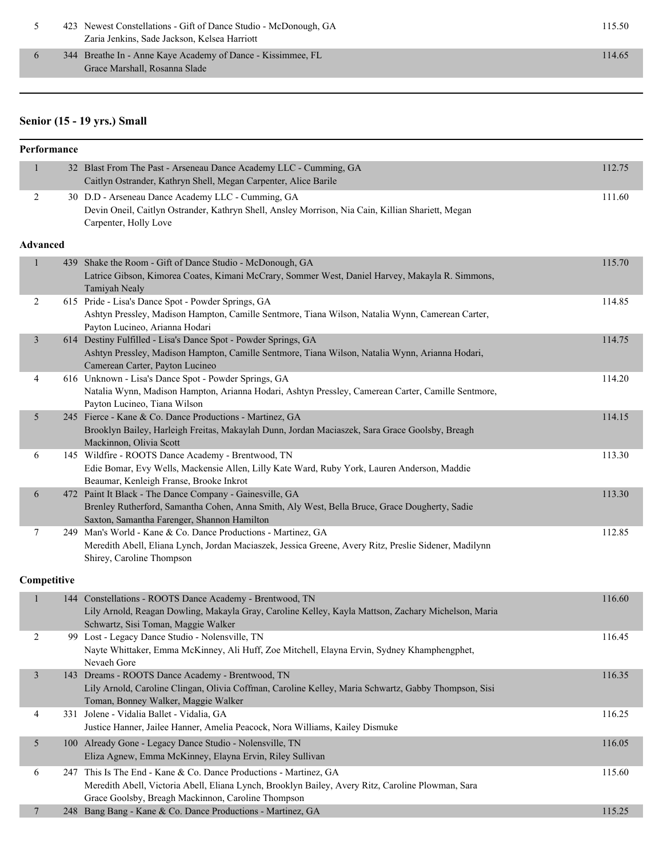| 423 Newest Constellations - Gift of Dance Studio - McDonough, GA | 115.50 |
|------------------------------------------------------------------|--------|
| Zaria Jenkins, Sade Jackson, Kelsea Harriott                     |        |

6 344 Breathe In - Anne Kaye Academy of Dance - Kissimmee, FL 114.65 Grace Marshall, Rosanna Slade

#### **Senior (15 - 19 yrs.) Small**

### **Performance** 1 32 Blast From The Past - Arseneau Dance Academy LLC - Cumming, GA 112.75 Caitlyn Ostrander, Kathryn Shell, Megan Carpenter, Alice Barile 2 30 D.D - Arseneau Dance Academy LLC - Cumming, GA 111.60 Devin Oneil, Caitlyn Ostrander, Kathryn Shell, Ansley Morrison, Nia Cain, Killian Shariett, Megan Carpenter, Holly Love **Advanced** 1 439 Shake the Room - Gift of Dance Studio - McDonough, GA 115.70 Latrice Gibson, Kimorea Coates, Kimani McCrary, Sommer West, Daniel Harvey, Makayla R. Simmons, Tamiyah Nealy 2 615 Pride - Lisa's Dance Spot - Powder Springs, GA 114.85 Ashtyn Pressley, Madison Hampton, Camille Sentmore, Tiana Wilson, Natalia Wynn, Camerean Carter, Payton Lucineo, Arianna Hodari 3 614 Destiny Fulfilled - Lisa's Dance Spot - Powder Springs, GA 114.75 Ashtyn Pressley, Madison Hampton, Camille Sentmore, Tiana Wilson, Natalia Wynn, Arianna Hodari, Camerean Carter, Payton Lucineo 4 616 Unknown - Lisa's Dance Spot - Powder Springs, GA 114.20 Natalia Wynn, Madison Hampton, Arianna Hodari, Ashtyn Pressley, Camerean Carter, Camille Sentmore, Payton Lucineo, Tiana Wilson 5 245 Fierce - Kane & Co. Dance Productions - Martinez, GA 114.15 Brooklyn Bailey, Harleigh Freitas, Makaylah Dunn, Jordan Maciaszek, Sara Grace Goolsby, Breagh Mackinnon, Olivia Scott 6 145 Wildfire - ROOTS Dance Academy - Brentwood, TN 113.30 Edie Bomar, Evy Wells, Mackensie Allen, Lilly Kate Ward, Ruby York, Lauren Anderson, Maddie Beaumar, Kenleigh Franse, Brooke Inkrot 6 472 Paint It Black - The Dance Company - Gainesville, GA 113.30 Brenley Rutherford, Samantha Cohen, Anna Smith, Aly West, Bella Bruce, Grace Dougherty, Sadie Saxton, Samantha Farenger, Shannon Hamilton 7 249 Man's World - Kane & Co. Dance Productions - Martinez, GA 112.85 Meredith Abell, Eliana Lynch, Jordan Maciaszek, Jessica Greene, Avery Ritz, Preslie Sidener, Madilynn Shirey, Caroline Thompson **Competitive** 1 144 Constellations - ROOTS Dance Academy - Brentwood, TN 116.60 Lily Arnold, Reagan Dowling, Makayla Gray, Caroline Kelley, Kayla Mattson, Zachary Michelson, Maria Schwartz, Sisi Toman, Maggie Walker 2 99 Lost - Legacy Dance Studio - Nolensville, TN 116.45 Nayte Whittaker, Emma McKinney, Ali Huff, Zoe Mitchell, Elayna Ervin, Sydney Khamphengphet, Nevaeh Gore 3 143 Dreams - ROOTS Dance Academy - Brentwood, TN 116.35 Lily Arnold, Caroline Clingan, Olivia Coffman, Caroline Kelley, Maria Schwartz, Gabby Thompson, Sisi Toman, Bonney Walker, Maggie Walker 4 331 Jolene - Vidalia Ballet - Vidalia, GA 116.25 Justice Hanner, Jailee Hanner, Amelia Peacock, Nora Williams, Kailey Dismuke 5 100 Already Gone - Legacy Dance Studio - Nolensville, TN 116.05 Eliza Agnew, Emma McKinney, Elayna Ervin, Riley Sullivan 6 247 This Is The End - Kane & Co. Dance Productions - Martinez, GA 115.60 Meredith Abell, Victoria Abell, Eliana Lynch, Brooklyn Bailey, Avery Ritz, Caroline Plowman, Sara Grace Goolsby, Breagh Mackinnon, Caroline Thompson 7 248 Bang Bang - Kane & Co. Dance Productions - Martinez, GA 115.25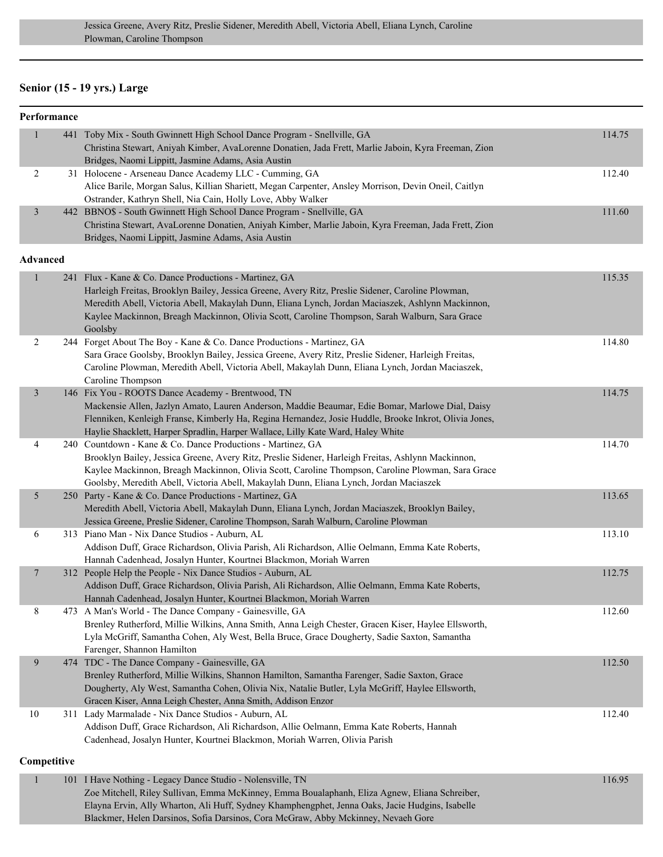## **Senior (15 - 19 yrs.) Large**

| Performance |  |  |  |  |  |
|-------------|--|--|--|--|--|
|-------------|--|--|--|--|--|

| $\mathbf{1}$    | 441 Toby Mix - South Gwinnett High School Dance Program - Snellville, GA<br>Christina Stewart, Aniyah Kimber, AvaLorenne Donatien, Jada Frett, Marlie Jaboin, Kyra Freeman, Zion<br>Bridges, Naomi Lippitt, Jasmine Adams, Asia Austin                                                                                                                                        | 114.75 |
|-----------------|-------------------------------------------------------------------------------------------------------------------------------------------------------------------------------------------------------------------------------------------------------------------------------------------------------------------------------------------------------------------------------|--------|
| $\overline{2}$  | 31 Holocene - Arseneau Dance Academy LLC - Cumming, GA<br>Alice Barile, Morgan Salus, Killian Shariett, Megan Carpenter, Ansley Morrison, Devin Oneil, Caitlyn<br>Ostrander, Kathryn Shell, Nia Cain, Holly Love, Abby Walker                                                                                                                                                 | 112.40 |
| 3               | 442 BBNO\$ - South Gwinnett High School Dance Program - Snellville, GA<br>Christina Stewart, AvaLorenne Donatien, Aniyah Kimber, Marlie Jaboin, Kyra Freeman, Jada Frett, Zion<br>Bridges, Naomi Lippitt, Jasmine Adams, Asia Austin                                                                                                                                          | 111.60 |
| <b>Advanced</b> |                                                                                                                                                                                                                                                                                                                                                                               |        |
| $\mathbf{1}$    | 241 Flux - Kane & Co. Dance Productions - Martinez, GA<br>Harleigh Freitas, Brooklyn Bailey, Jessica Greene, Avery Ritz, Preslie Sidener, Caroline Plowman,<br>Meredith Abell, Victoria Abell, Makaylah Dunn, Eliana Lynch, Jordan Maciaszek, Ashlynn Mackinnon,<br>Kaylee Mackinnon, Breagh Mackinnon, Olivia Scott, Caroline Thompson, Sarah Walburn, Sara Grace<br>Goolsby | 115.35 |
| $\overline{2}$  | 244 Forget About The Boy - Kane & Co. Dance Productions - Martinez, GA<br>Sara Grace Goolsby, Brooklyn Bailey, Jessica Greene, Avery Ritz, Preslie Sidener, Harleigh Freitas,<br>Caroline Plowman, Meredith Abell, Victoria Abell, Makaylah Dunn, Eliana Lynch, Jordan Maciaszek,<br>Caroline Thompson                                                                        | 114.80 |
| $\mathfrak{Z}$  | 146 Fix You - ROOTS Dance Academy - Brentwood, TN<br>Mackensie Allen, Jazlyn Amato, Lauren Anderson, Maddie Beaumar, Edie Bomar, Marlowe Dial, Daisy<br>Flenniken, Kenleigh Franse, Kimberly Ha, Regina Hernandez, Josie Huddle, Brooke Inkrot, Olivia Jones,<br>Haylie Shacklett, Harper Spradlin, Harper Wallace, Lilly Kate Ward, Haley White                              | 114.75 |
| 4               | 240 Countdown - Kane & Co. Dance Productions - Martinez, GA<br>Brooklyn Bailey, Jessica Greene, Avery Ritz, Preslie Sidener, Harleigh Freitas, Ashlynn Mackinnon,<br>Kaylee Mackinnon, Breagh Mackinnon, Olivia Scott, Caroline Thompson, Caroline Plowman, Sara Grace<br>Goolsby, Meredith Abell, Victoria Abell, Makaylah Dunn, Eliana Lynch, Jordan Maciaszek              | 114.70 |
| 5               | 250 Party - Kane & Co. Dance Productions - Martinez, GA<br>Meredith Abell, Victoria Abell, Makaylah Dunn, Eliana Lynch, Jordan Maciaszek, Brooklyn Bailey,<br>Jessica Greene, Preslie Sidener, Caroline Thompson, Sarah Walburn, Caroline Plowman                                                                                                                             | 113.65 |
| 6               | 313 Piano Man - Nix Dance Studios - Auburn, AL<br>Addison Duff, Grace Richardson, Olivia Parish, Ali Richardson, Allie Oelmann, Emma Kate Roberts,<br>Hannah Cadenhead, Josalyn Hunter, Kourtnei Blackmon, Moriah Warren                                                                                                                                                      | 113.10 |
| $\overline{7}$  | 312 People Help the People - Nix Dance Studios - Auburn, AL<br>Addison Duff, Grace Richardson, Olivia Parish, Ali Richardson, Allie Oelmann, Emma Kate Roberts,<br>Hannah Cadenhead, Josalyn Hunter, Kourtnei Blackmon, Moriah Warren                                                                                                                                         | 112.75 |
| 8               | 473 A Man's World - The Dance Company - Gainesville, GA<br>Brenley Rutherford, Millie Wilkins, Anna Smith, Anna Leigh Chester, Gracen Kiser, Haylee Ellsworth,<br>Lyla McGriff, Samantha Cohen, Aly West, Bella Bruce, Grace Dougherty, Sadie Saxton, Samantha<br>Farenger, Shannon Hamilton                                                                                  | 112.60 |
| 9               | 474 TDC - The Dance Company - Gainesville, GA<br>Brenley Rutherford, Millie Wilkins, Shannon Hamilton, Samantha Farenger, Sadie Saxton, Grace<br>Dougherty, Aly West, Samantha Cohen, Olivia Nix, Natalie Butler, Lyla McGriff, Haylee Ellsworth,<br>Gracen Kiser, Anna Leigh Chester, Anna Smith, Addison Enzor                                                              | 112.50 |
| $10\,$          | 311 Lady Marmalade - Nix Dance Studios - Auburn, AL<br>Addison Duff, Grace Richardson, Ali Richardson, Allie Oelmann, Emma Kate Roberts, Hannah<br>Cadenhead, Josalyn Hunter, Kourtnei Blackmon, Moriah Warren, Olivia Parish                                                                                                                                                 | 112.40 |
| Competitive     |                                                                                                                                                                                                                                                                                                                                                                               |        |
| $\mathbf{1}$    | 101 I Have Nothing - Legacy Dance Studio - Nolensville, TN<br>Zoe Mitchell, Riley Sullivan, Emma McKinney, Emma Boualaphanh, Eliza Agnew, Eliana Schreiber,<br>Elayna Ervin, Ally Wharton, Ali Huff, Sydney Khamphengphet, Jenna Oaks, Jacie Hudgins, Isabelle                                                                                                                | 116.95 |

Blackmer, Helen Darsinos, Sofia Darsinos, Cora McGraw, Abby Mckinney, Nevaeh Gore